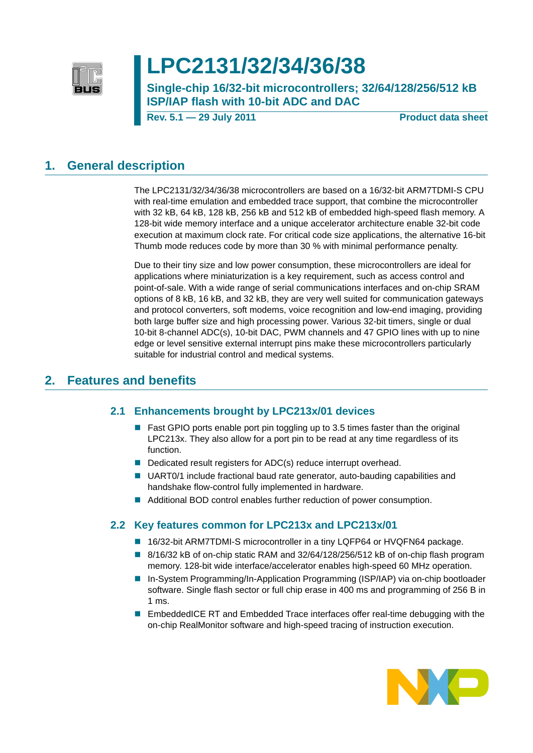

# **LPC2131/32/34/36/38**

**Single-chip 16/32-bit microcontrollers; 32/64/128/256/512 kB ISP/IAP flash with 10-bit ADC and DAC**

**Rev. 5.1 — 29 July 2011 Product data sheet**

## <span id="page-0-0"></span>**1. General description**

The LPC2131/32/34/36/38 microcontrollers are based on a 16/32-bit ARM7TDMI-S CPU with real-time emulation and embedded trace support, that combine the microcontroller with 32 kB, 64 kB, 128 kB, 256 kB and 512 kB of embedded high-speed flash memory. A 128-bit wide memory interface and a unique accelerator architecture enable 32-bit code execution at maximum clock rate. For critical code size applications, the alternative 16-bit Thumb mode reduces code by more than 30 % with minimal performance penalty.

Due to their tiny size and low power consumption, these microcontrollers are ideal for applications where miniaturization is a key requirement, such as access control and point-of-sale. With a wide range of serial communications interfaces and on-chip SRAM options of 8 kB, 16 kB, and 32 kB, they are very well suited for communication gateways and protocol converters, soft modems, voice recognition and low-end imaging, providing both large buffer size and high processing power. Various 32-bit timers, single or dual 10-bit 8-channel ADC(s), 10-bit DAC, PWM channels and 47 GPIO lines with up to nine edge or level sensitive external interrupt pins make these microcontrollers particularly suitable for industrial control and medical systems.

## <span id="page-0-2"></span><span id="page-0-1"></span>**2. Features and benefits**

### **2.1 Enhancements brought by LPC213x/01 devices**

- Fast GPIO ports enable port pin toggling up to 3.5 times faster than the original LPC213x. They also allow for a port pin to be read at any time regardless of its function.
- Dedicated result registers for ADC(s) reduce interrupt overhead.
- UART0/1 include fractional baud rate generator, auto-bauding capabilities and handshake flow-control fully implemented in hardware.
- Additional BOD control enables further reduction of power consumption.

### <span id="page-0-3"></span>**2.2 Key features common for LPC213x and LPC213x/01**

- 16/32-bit ARM7TDMI-S microcontroller in a tiny LQFP64 or HVQFN64 package.
- $\blacksquare$  8/16/32 kB of on-chip static RAM and 32/64/128/256/512 kB of on-chip flash program memory. 128-bit wide interface/accelerator enables high-speed 60 MHz operation.
- In-System Programming/In-Application Programming (ISP/IAP) via on-chip bootloader software. Single flash sector or full chip erase in 400 ms and programming of 256 B in 1 ms.
- EmbeddedICE RT and Embedded Trace interfaces offer real-time debugging with the on-chip RealMonitor software and high-speed tracing of instruction execution.

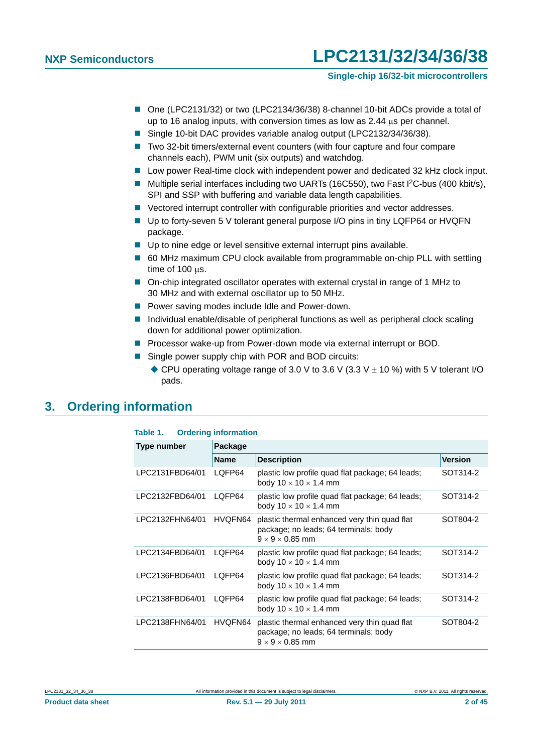- One (LPC2131/32) or two (LPC2134/36/38) 8-channel 10-bit ADCs provide a total of up to 16 analog inputs, with conversion times as low as  $2.44 \mu s$  per channel.
- Single 10-bit DAC provides variable analog output (LPC2132/34/36/38).
- Two 32-bit timers/external event counters (with four capture and four compare channels each), PWM unit (six outputs) and watchdog.
- Low power Real-time clock with independent power and dedicated 32 kHz clock input.
- Multiple serial interfaces including two UARTs (16C550), two Fast I<sup>2</sup>C-bus (400 kbit/s), SPI and SSP with buffering and variable data length capabilities.
- Vectored interrupt controller with configurable priorities and vector addresses.
- Up to forty-seven 5 V tolerant general purpose I/O pins in tiny LQFP64 or HVQFN package.
- Up to nine edge or level sensitive external interrupt pins available.
- 60 MHz maximum CPU clock available from programmable on-chip PLL with settling  $time of 100$   $\mu s$ .
- On-chip integrated oscillator operates with external crystal in range of 1 MHz to 30 MHz and with external oscillator up to 50 MHz.
- **Power saving modes include Idle and Power-down.**
- Individual enable/disable of peripheral functions as well as peripheral clock scaling down for additional power optimization.
- **Processor wake-up from Power-down mode via external interrupt or BOD.**
- Single power supply chip with POR and BOD circuits:
	- CPU operating voltage range of 3.0 V to 3.6 V (3.3 V  $\pm$  10 %) with 5 V tolerant I/O pads.

### <span id="page-1-0"></span>**3. Ordering information**

| Table 1.           | <b>Ordering information</b> |                                                                                                                      |                |  |  |  |  |  |
|--------------------|-----------------------------|----------------------------------------------------------------------------------------------------------------------|----------------|--|--|--|--|--|
| <b>Type number</b> | Package                     |                                                                                                                      |                |  |  |  |  |  |
|                    | <b>Name</b>                 | <b>Description</b>                                                                                                   | <b>Version</b> |  |  |  |  |  |
| LPC2131FBD64/01    | LQFP64                      | plastic low profile quad flat package; 64 leads;<br>body $10 \times 10 \times 1.4$ mm                                | SOT314-2       |  |  |  |  |  |
| LPC2132FBD64/01    | LQFP64                      | plastic low profile quad flat package; 64 leads;<br>body $10 \times 10 \times 1.4$ mm                                | SOT314-2       |  |  |  |  |  |
| LPC2132FHN64/01    | HVQFN64                     | plastic thermal enhanced very thin quad flat<br>package; no leads; 64 terminals; body<br>$9 \times 9 \times 0.85$ mm | SOT804-2       |  |  |  |  |  |
| LPC2134FBD64/01    | LOFP64                      | plastic low profile quad flat package; 64 leads;<br>body $10 \times 10 \times 1.4$ mm                                | SOT314-2       |  |  |  |  |  |
| LPC2136FBD64/01    | LOFP64                      | plastic low profile quad flat package; 64 leads;<br>body $10 \times 10 \times 1.4$ mm                                | SOT314-2       |  |  |  |  |  |
| LPC2138FBD64/01    | LQFP64                      | plastic low profile quad flat package; 64 leads;<br>body $10 \times 10 \times 1.4$ mm                                | SOT314-2       |  |  |  |  |  |
| LPC2138FHN64/01    | HVQFN64                     | plastic thermal enhanced very thin quad flat<br>package; no leads; 64 terminals; body<br>$9 \times 9 \times 0.85$ mm | SOT804-2       |  |  |  |  |  |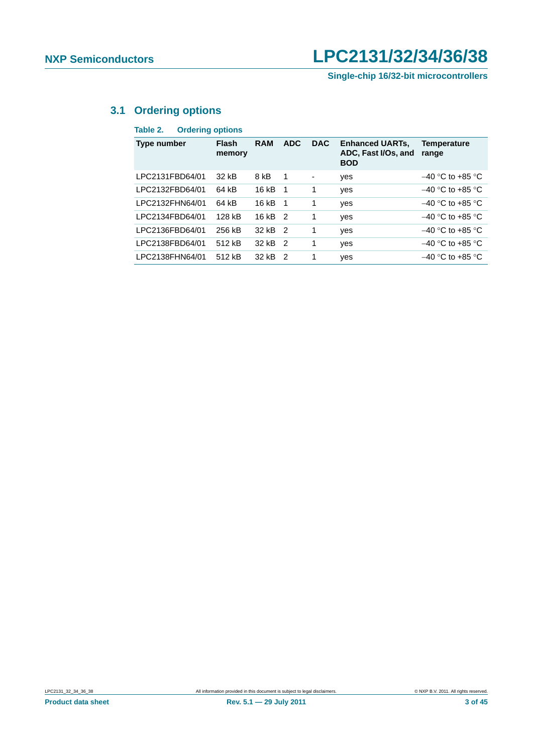**Single-chip 16/32-bit microcontrollers**

### <span id="page-2-0"></span>**3.1 Ordering options**

### **Table 2. Ordering options**

| Type number     | <b>Flash</b><br>memory | <b>RAM</b> | <b>ADC</b>     | <b>DAC</b> | <b>Enhanced UARTs,</b><br>ADC, Fast I/Os, and<br><b>BOD</b> | <b>Temperature</b><br>range |
|-----------------|------------------------|------------|----------------|------------|-------------------------------------------------------------|-----------------------------|
| LPC2131FBD64/01 | 32 kB                  | 8 kB       | -1             |            | yes                                                         | $-40$ °C to +85 °C          |
| LPC2132FBD64/01 | 64 kB                  | 16 kB      | - 1            | 1          | yes                                                         | $-40$ °C to +85 °C          |
| LPC2132FHN64/01 | 64 kB                  | 16kB       | - 1            | 1          | yes                                                         | $-40$ °C to +85 °C          |
| LPC2134FBD64/01 | 128 kB                 | 16 kB      | $\overline{2}$ | 1          | yes                                                         | $-40$ °C to +85 °C          |
| LPC2136FBD64/01 | 256 kB                 | 32 kB      | 2              | 1          | yes                                                         | $-40$ °C to +85 °C          |
| LPC2138FBD64/01 | 512 kB                 | 32 kB      | $\mathcal{P}$  | 1          | yes                                                         | $-40$ °C to +85 °C          |
| LPC2138FHN64/01 | 512 kB                 | 32 kB      | $\mathcal{P}$  | 1          | yes                                                         | $-40$ °C to +85 °C          |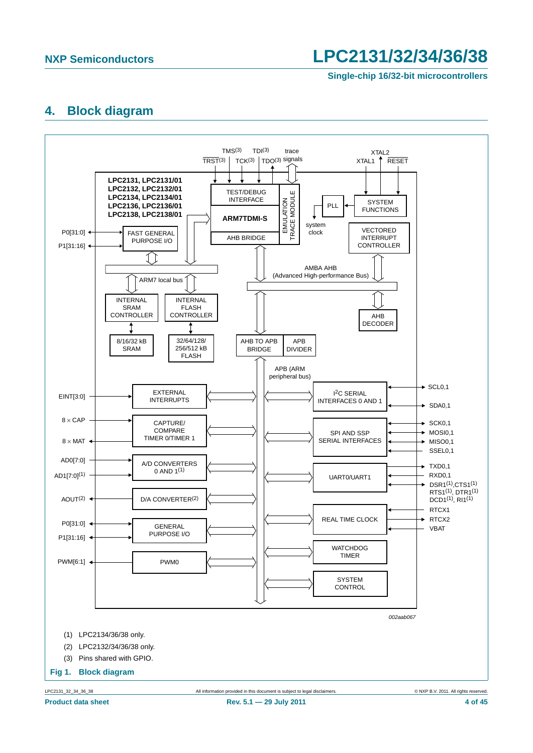**Single-chip 16/32-bit microcontrollers**

### <span id="page-3-0"></span>**4. Block diagram**

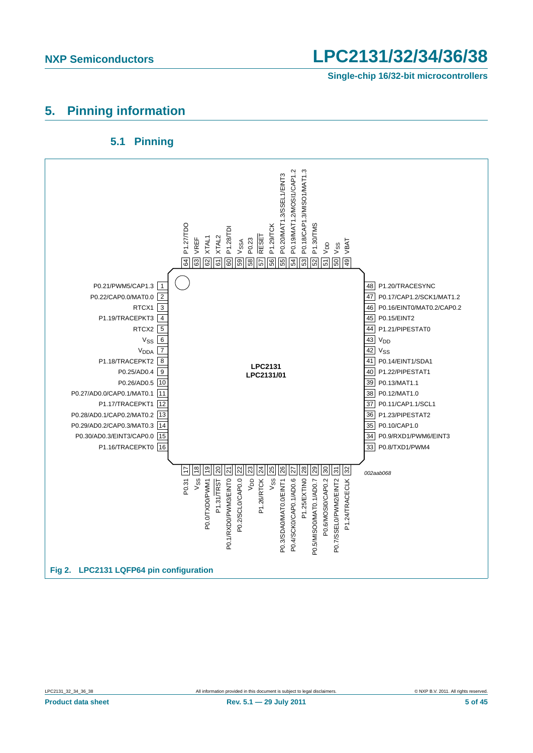**Single-chip 16/32-bit microcontrollers**

## <span id="page-4-0"></span>**5. Pinning information**

### **5.1 Pinning**

<span id="page-4-1"></span>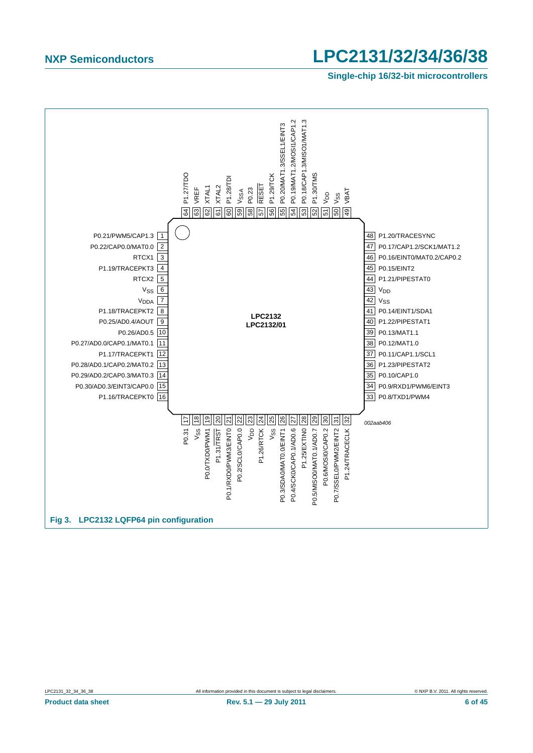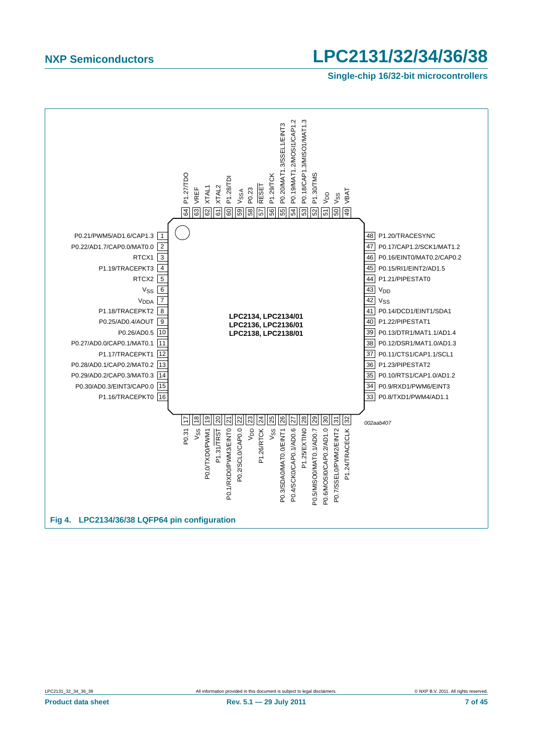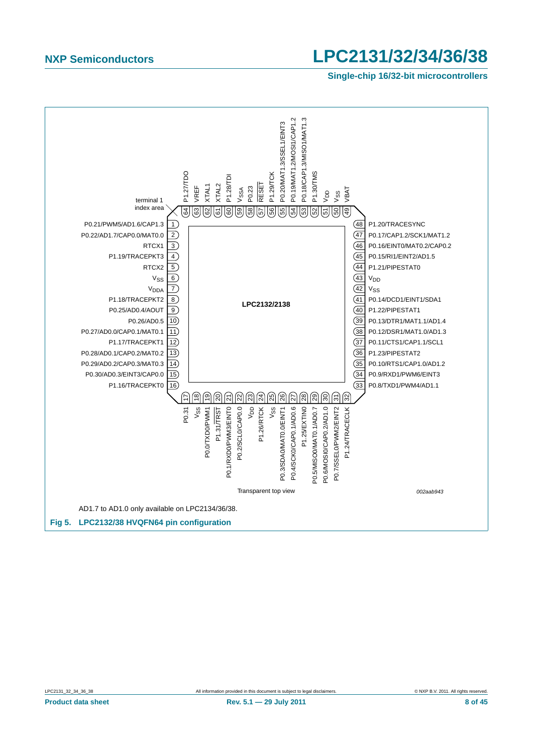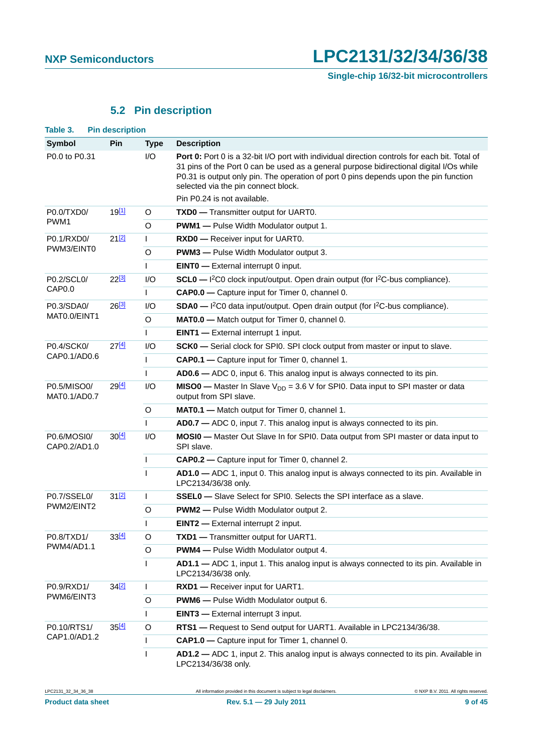## **5.2 Pin description**

<span id="page-8-1"></span><span id="page-8-0"></span>

| Table 3.                       | <b>Pin description</b> |              |                                                                                                                                                                                                                                                                                                                                |
|--------------------------------|------------------------|--------------|--------------------------------------------------------------------------------------------------------------------------------------------------------------------------------------------------------------------------------------------------------------------------------------------------------------------------------|
| <b>Symbol</b>                  | <b>Pin</b>             | <b>Type</b>  | <b>Description</b>                                                                                                                                                                                                                                                                                                             |
| P0.0 to P0.31                  |                        | I/O          | <b>Port 0:</b> Port 0 is a 32-bit I/O port with individual direction controls for each bit. Total of<br>31 pins of the Port 0 can be used as a general purpose bidirectional digital I/Os while<br>P0.31 is output only pin. The operation of port 0 pins depends upon the pin function<br>selected via the pin connect block. |
|                                |                        |              | Pin P0.24 is not available.                                                                                                                                                                                                                                                                                                    |
| P0.0/TXD0/<br>PWM <sub>1</sub> | 19[1]                  | O            | TXD0 - Transmitter output for UART0.                                                                                                                                                                                                                                                                                           |
|                                |                        | O            | <b>PWM1</b> - Pulse Width Modulator output 1.                                                                                                                                                                                                                                                                                  |
| P0.1/RXD0/                     | $21^{[2]}$             | $\mathsf{L}$ | RXD0 - Receiver input for UART0.                                                                                                                                                                                                                                                                                               |
| PWM3/EINT0                     |                        | O            | <b>PWM3</b> - Pulse Width Modulator output 3.                                                                                                                                                                                                                                                                                  |
|                                |                        | $\mathsf{I}$ | <b>EINTO</b> — External interrupt 0 input.                                                                                                                                                                                                                                                                                     |
| P0.2/SCL0/                     | 22 <sup>[3]</sup>      | 1/O          | $SCL0 - l^2CO$ clock input/output. Open drain output (for $l^2C$ -bus compliance).                                                                                                                                                                                                                                             |
| CAP <sub>0.0</sub>             |                        | $\mathbf{I}$ | CAP0.0 - Capture input for Timer 0, channel 0.                                                                                                                                                                                                                                                                                 |
| P0.3/SDA0/                     | $26^{[3]}$             | I/O          | $SDA0 - l^2CO$ data input/output. Open drain output (for $l^2C$ -bus compliance).                                                                                                                                                                                                                                              |
| MAT0.0/EINT1                   |                        | O            | MATO.0 - Match output for Timer 0, channel 0.                                                                                                                                                                                                                                                                                  |
|                                |                        | $\mathsf{I}$ | <b>EINT1</b> - External interrupt 1 input.                                                                                                                                                                                                                                                                                     |
| P0.4/SCK0/                     | $27^{[4]}$             | 1/O          | SCK0 - Serial clock for SPI0. SPI clock output from master or input to slave.                                                                                                                                                                                                                                                  |
| CAP0.1/AD0.6                   |                        | L            | CAP0.1 - Capture input for Timer 0, channel 1.                                                                                                                                                                                                                                                                                 |
|                                |                        | $\mathbf{I}$ | AD0.6 - ADC 0, input 6. This analog input is always connected to its pin.                                                                                                                                                                                                                                                      |
| P0.5/MISO0/<br>MATO.1/ADO.7    | 29 <sup>[4]</sup>      | I/O          | <b>MISO0</b> - Master In Slave $V_{DD}$ = 3.6 V for SPI0. Data input to SPI master or data<br>output from SPI slave.                                                                                                                                                                                                           |
|                                |                        | O            | MATO.1 - Match output for Timer 0, channel 1.                                                                                                                                                                                                                                                                                  |
|                                |                        | $\mathbf{I}$ | AD0.7 - ADC 0, input 7. This analog input is always connected to its pin.                                                                                                                                                                                                                                                      |
| P0.6/MOSI0/<br>CAP0.2/AD1.0    | 30[4]                  | I/O          | MOSI0 - Master Out Slave In for SPI0. Data output from SPI master or data input to<br>SPI slave.                                                                                                                                                                                                                               |
|                                |                        | $\mathbf{I}$ | CAP0.2 - Capture input for Timer 0, channel 2.                                                                                                                                                                                                                                                                                 |
|                                |                        | $\mathbf{I}$ | AD1.0 - ADC 1, input 0. This analog input is always connected to its pin. Available in<br>LPC2134/36/38 only.                                                                                                                                                                                                                  |
| P0.7/SSEL0/                    | 312                    | $\mathsf{I}$ | <b>SSEL0</b> - Slave Select for SPI0. Selects the SPI interface as a slave.                                                                                                                                                                                                                                                    |
| PWM2/EINT2                     |                        | O            | <b>PWM2</b> - Pulse Width Modulator output 2.                                                                                                                                                                                                                                                                                  |
|                                |                        | T            | <b>EINT2</b> - External interrupt 2 input.                                                                                                                                                                                                                                                                                     |
| P0.8/TXD1/                     | 33[4]                  | O            | TXD1 - Transmitter output for UART1.                                                                                                                                                                                                                                                                                           |
| PWM4/AD1.1                     |                        | O            | <b>PWM4</b> - Pulse Width Modulator output 4.                                                                                                                                                                                                                                                                                  |
|                                |                        | $\mathsf{I}$ | AD1.1 - ADC 1, input 1. This analog input is always connected to its pin. Available in<br>LPC2134/36/38 only.                                                                                                                                                                                                                  |
| P0.9/RXD1/                     | 34[2]                  | $\mathbf{I}$ | RXD1 - Receiver input for UART1.                                                                                                                                                                                                                                                                                               |
| PWM6/EINT3                     |                        | O            | <b>PWM6</b> - Pulse Width Modulator output 6.                                                                                                                                                                                                                                                                                  |
|                                |                        | $\mathsf{L}$ | <b>EINT3</b> - External interrupt 3 input.                                                                                                                                                                                                                                                                                     |
| P0.10/RTS1/                    | 35[4]                  | $\circ$      | RTS1 - Request to Send output for UART1. Available in LPC2134/36/38.                                                                                                                                                                                                                                                           |
| CAP1.0/AD1.2                   |                        | $\mathsf{I}$ | CAP1.0 - Capture input for Timer 1, channel 0.                                                                                                                                                                                                                                                                                 |
|                                |                        | $\mathbf{I}$ | AD1.2 - ADC 1, input 2. This analog input is always connected to its pin. Available in<br>LPC2134/36/38 only.                                                                                                                                                                                                                  |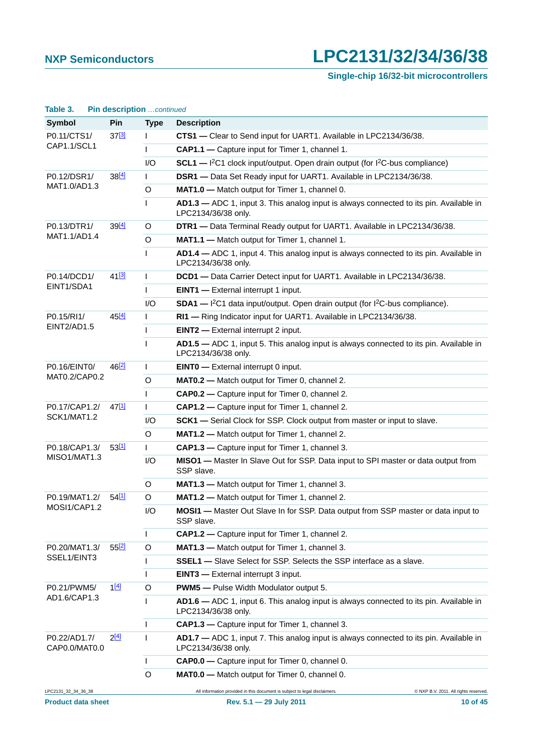| Table 3.                      | Pin description continued |              |                                                                                                                     |
|-------------------------------|---------------------------|--------------|---------------------------------------------------------------------------------------------------------------------|
| Symbol                        | Pin                       | <b>Type</b>  | <b>Description</b>                                                                                                  |
| P0.11/CTS1/                   | $37^{[3]}$                | L            | CTS1 - Clear to Send input for UART1. Available in LPC2134/36/38.                                                   |
| CAP1.1/SCL1                   |                           | L            | CAP1.1 - Capture input for Timer 1, channel 1.                                                                      |
|                               |                           | 1/O          | $SCL1$ - $I^2C1$ clock input/output. Open drain output (for $I^2C$ -bus compliance)                                 |
| P0.12/DSR1/                   | 38[4]                     | $\mathsf{I}$ | DSR1 - Data Set Ready input for UART1. Available in LPC2134/36/38.                                                  |
| MAT1.0/AD1.3                  |                           | O            | MAT1.0 - Match output for Timer 1, channel 0.                                                                       |
|                               |                           | $\mathbf{I}$ | AD1.3 - ADC 1, input 3. This analog input is always connected to its pin. Available in<br>LPC2134/36/38 only.       |
| P0.13/DTR1/                   | 39 <sup>[4]</sup>         | O            | DTR1 - Data Terminal Ready output for UART1. Available in LPC2134/36/38.                                            |
| MAT1.1/AD1.4                  |                           | O            | MAT1.1 - Match output for Timer 1, channel 1.                                                                       |
|                               |                           | $\mathbf{I}$ | AD1.4 - ADC 1, input 4. This analog input is always connected to its pin. Available in<br>LPC2134/36/38 only.       |
| P0.14/DCD1/                   | 41 <sup>[3]</sup>         | T            | DCD1 - Data Carrier Detect input for UART1. Available in LPC2134/36/38.                                             |
| EINT1/SDA1                    |                           | L            | <b>EINT1</b> - External interrupt 1 input.                                                                          |
|                               |                           | I/O          | <b>SDA1</b> - $1^2C1$ data input/output. Open drain output (for $1^2C$ -bus compliance).                            |
| P0.15/RI1/                    | $45^{[4]}$                | T            | RI1 - Ring Indicator input for UART1. Available in LPC2134/36/38.                                                   |
| EINT2/AD1.5                   |                           | T            | <b>EINT2</b> - External interrupt 2 input.                                                                          |
|                               |                           | $\mathbf{I}$ | AD1.5 - ADC 1, input 5. This analog input is always connected to its pin. Available in<br>LPC2134/36/38 only.       |
| P0.16/EINT0/                  | 46[2]                     | T            | <b>EINTO</b> - External interrupt 0 input.                                                                          |
| MAT0.2/CAP0.2                 |                           | O            | <b>MAT0.2</b> - Match output for Timer 0, channel 2.                                                                |
|                               |                           | L            | CAP0.2 - Capture input for Timer 0, channel 2.                                                                      |
| P0.17/CAP1.2/                 | 47[1]                     | T            | CAP1.2 - Capture input for Timer 1, channel 2.                                                                      |
| SCK1/MAT1.2                   |                           | I/O          | SCK1 - Serial Clock for SSP. Clock output from master or input to slave.                                            |
|                               |                           | O            | MAT1.2 - Match output for Timer 1, channel 2.                                                                       |
| P0.18/CAP1.3/<br>MISO1/MAT1.3 | 53[1]                     | L            | CAP1.3 - Capture input for Timer 1, channel 3.                                                                      |
|                               |                           | I/O          | MISO1 - Master In Slave Out for SSP. Data input to SPI master or data output from<br>SSP slave.                     |
|                               |                           | O            | MAT1.3 - Match output for Timer 1, channel 3.                                                                       |
| P0.19/MAT1.2/                 | 54[1]                     | O            | <b>MAT1.2</b> — Match output for Timer 1, channel 2.                                                                |
| MOSI1/CAP1.2                  |                           | I/O          | MOSI1 - Master Out Slave In for SSP. Data output from SSP master or data input to<br>SSP slave.                     |
|                               |                           | T            | CAP1.2 - Capture input for Timer 1, channel 2.                                                                      |
| P0.20/MAT1.3/                 | 552                       | O            | MAT1.3 - Match output for Timer 1, channel 3.                                                                       |
| SSEL1/EINT3                   |                           | L            | <b>SSEL1</b> - Slave Select for SSP. Selects the SSP interface as a slave.                                          |
|                               |                           | T            | <b>EINT3</b> — External interrupt 3 input.                                                                          |
| P0.21/PWM5/<br>AD1.6/CAP1.3   | 1[4]                      | O            | <b>PWM5</b> - Pulse Width Modulator output 5.                                                                       |
|                               |                           | $\mathbf{I}$ | AD1.6 - ADC 1, input 6. This analog input is always connected to its pin. Available in<br>LPC2134/36/38 only.       |
|                               |                           | $\mathbf{I}$ | CAP1.3 - Capture input for Timer 1, channel 3.                                                                      |
| P0.22/AD1.7/<br>CAP0.0/MAT0.0 | $2^{[4]}$                 | L            | AD1.7 - ADC 1, input 7. This analog input is always connected to its pin. Available in<br>LPC2134/36/38 only.       |
|                               |                           | T            | CAP0.0 - Capture input for Timer 0, channel 0.                                                                      |
|                               |                           | $\circ$      | MATO.0 - Match output for Timer 0, channel 0.                                                                       |
| LPC2131_32_34_36_38           |                           |              | All information provided in this document is subject to legal disclaimers.<br>C NXP B.V. 2011. All rights reserved. |
| <b>Product data sheet</b>     |                           |              | Rev. 5.1 - 29 July 2011<br>10 of 45                                                                                 |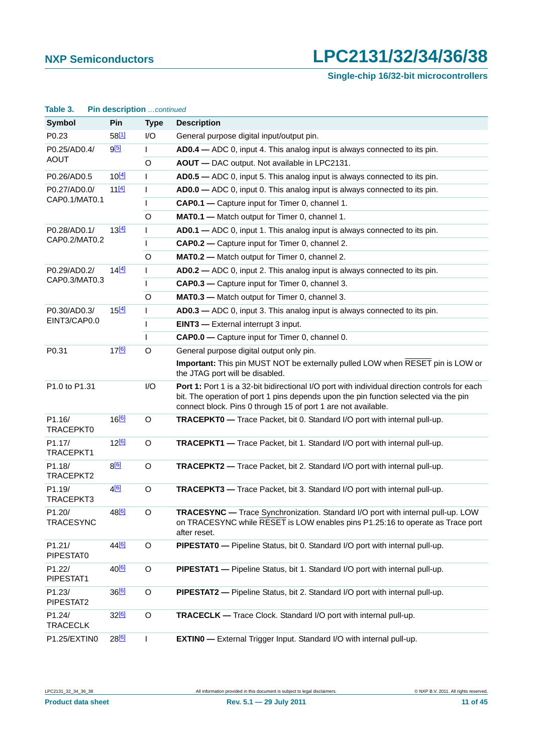**Single-chip 16/32-bit microcontrollers**

| raple 3.<br><b>PIN GESCRIPTION</b> continued |                   |              |                                                                                                                                                                                                                                                        |  |  |
|----------------------------------------------|-------------------|--------------|--------------------------------------------------------------------------------------------------------------------------------------------------------------------------------------------------------------------------------------------------------|--|--|
| <b>Symbol</b>                                | Pin               | <b>Type</b>  | <b>Description</b>                                                                                                                                                                                                                                     |  |  |
| P0.23                                        | 58[1]             | I/O          | General purpose digital input/output pin.                                                                                                                                                                                                              |  |  |
| P0.25/AD0.4/                                 | 9 <sup>[5]</sup>  | L            | AD0.4 – ADC 0, input 4. This analog input is always connected to its pin.                                                                                                                                                                              |  |  |
| <b>AOUT</b>                                  |                   | $\circ$      | AOUT - DAC output. Not available in LPC2131.                                                                                                                                                                                                           |  |  |
| P0.26/AD0.5                                  | $10^{[4]}$        | L            | AD0.5 – ADC 0, input 5. This analog input is always connected to its pin.                                                                                                                                                                              |  |  |
| P0.27/AD0.0/                                 | 11[4]             | L            | AD0.0 - ADC 0, input 0. This analog input is always connected to its pin.                                                                                                                                                                              |  |  |
| CAP0.1/MAT0.1                                |                   | $\mathbf{I}$ | CAP0.1 - Capture input for Timer 0, channel 1.                                                                                                                                                                                                         |  |  |
|                                              |                   | $\circ$      | MAT0.1 - Match output for Timer 0, channel 1.                                                                                                                                                                                                          |  |  |
| P0.28/AD0.1/                                 | 13 <sup>[4]</sup> | $\mathbf{I}$ | AD0.1 - ADC 0, input 1. This analog input is always connected to its pin.                                                                                                                                                                              |  |  |
| CAP0.2/MAT0.2                                |                   | $\mathbf{I}$ | CAP0.2 - Capture input for Timer 0, channel 2.                                                                                                                                                                                                         |  |  |
|                                              |                   | O            | MATO.2 - Match output for Timer 0, channel 2.                                                                                                                                                                                                          |  |  |
| P0.29/AD0.2/                                 | 14[4]             | $\mathbf{I}$ | AD0.2 - ADC 0, input 2. This analog input is always connected to its pin.                                                                                                                                                                              |  |  |
| CAP0.3/MAT0.3                                |                   | L            | CAP0.3 - Capture input for Timer 0, channel 3.                                                                                                                                                                                                         |  |  |
|                                              |                   | O            | MAT0.3 - Match output for Timer 0, channel 3.                                                                                                                                                                                                          |  |  |
| P0.30/AD0.3/                                 | 15 <sup>[4]</sup> | $\mathbf{I}$ | AD0.3 - ADC 0, input 3. This analog input is always connected to its pin.                                                                                                                                                                              |  |  |
| EINT3/CAP0.0                                 |                   | $\mathbf{I}$ | <b>EINT3</b> - External interrupt 3 input.                                                                                                                                                                                                             |  |  |
|                                              |                   | $\mathbf{I}$ | CAP0.0 - Capture input for Timer 0, channel 0.                                                                                                                                                                                                         |  |  |
| P0.31                                        | 17 <sup>[6]</sup> | $\circ$      | General purpose digital output only pin.                                                                                                                                                                                                               |  |  |
|                                              |                   |              | Important: This pin MUST NOT be externally pulled LOW when RESET pin is LOW or<br>the JTAG port will be disabled.                                                                                                                                      |  |  |
| P1.0 to P1.31                                |                   | I/O          | Port 1: Port 1 is a 32-bit bidirectional I/O port with individual direction controls for each<br>bit. The operation of port 1 pins depends upon the pin function selected via the pin<br>connect block. Pins 0 through 15 of port 1 are not available. |  |  |
| P1.16/<br>TRACEPKT0                          | 16 <sup>[6]</sup> | $\circ$      | TRACEPKT0 - Trace Packet, bit 0. Standard I/O port with internal pull-up.                                                                                                                                                                              |  |  |
| P <sub>1.17</sub> /<br>TRACEPKT1             | 12 <sup>[6]</sup> | $\circ$      | <b>TRACEPKT1</b> - Trace Packet, bit 1. Standard I/O port with internal pull-up.                                                                                                                                                                       |  |  |
| P1.18/<br>TRACEPKT2                          | 8[6]              | O            | TRACEPKT2 - Trace Packet, bit 2. Standard I/O port with internal pull-up.                                                                                                                                                                              |  |  |
| P1.19/<br>TRACEPKT3                          | 4[6]              | $\circ$      | <b>TRACEPKT3</b> - Trace Packet, bit 3. Standard I/O port with internal pull-up.                                                                                                                                                                       |  |  |
| P <sub>1.20</sub> /<br><b>TRACESYNC</b>      | 48[6]             | O            | <b>TRACESYNC</b> — Trace Synchronization. Standard I/O port with internal pull-up. LOW<br>on TRACESYNC while RESET is LOW enables pins P1.25:16 to operate as Trace port<br>after reset.                                                               |  |  |
| P1.21/<br>PIPESTAT0                          | 44 <sup>[6]</sup> | $\circ$      | PIPESTATO - Pipeline Status, bit 0. Standard I/O port with internal pull-up.                                                                                                                                                                           |  |  |
| P1.22/<br>PIPESTAT1                          | 40 <sup>[6]</sup> | $\circ$      | PIPESTAT1 - Pipeline Status, bit 1. Standard I/O port with internal pull-up.                                                                                                                                                                           |  |  |
| P1.23/<br>PIPESTAT2                          | 366               | O            | PIPESTAT2 - Pipeline Status, bit 2. Standard I/O port with internal pull-up.                                                                                                                                                                           |  |  |
| P <sub>1.24</sub> /<br><b>TRACECLK</b>       | 32[6]             | O            | TRACECLK - Trace Clock. Standard I/O port with internal pull-up.                                                                                                                                                                                       |  |  |
| P1.25/EXTINO                                 | 28[6]             | $\mathbf{I}$ | <b>EXTINO</b> — External Trigger Input. Standard I/O with internal pull-up.                                                                                                                                                                            |  |  |

### **Table 3. Pin description** *…continued*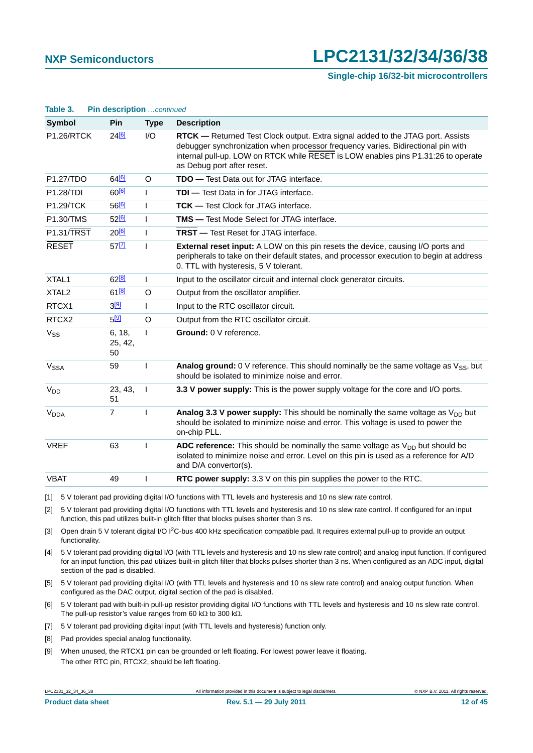**Single-chip 16/32-bit microcontrollers**

| Table 3.               | Pin description continued |              |                                                                                                                                                                                                                                                                                        |
|------------------------|---------------------------|--------------|----------------------------------------------------------------------------------------------------------------------------------------------------------------------------------------------------------------------------------------------------------------------------------------|
| <b>Symbol</b>          | Pin                       | <b>Type</b>  | <b>Description</b>                                                                                                                                                                                                                                                                     |
| <b>P1.26/RTCK</b>      | $24^{[6]}$                | I/O          | RTCK - Returned Test Clock output. Extra signal added to the JTAG port. Assists<br>debugger synchronization when processor frequency varies. Bidirectional pin with<br>internal pull-up. LOW on RTCK while RESET is LOW enables pins P1.31:26 to operate<br>as Debug port after reset. |
| P1.27/TDO              | 64 <sup>[6]</sup>         | O            | <b>TDO</b> — Test Data out for JTAG interface.                                                                                                                                                                                                                                         |
| <b>P1.28/TDI</b>       | 60 <sup>[6]</sup>         | $\mathbf{I}$ | <b>TDI</b> — Test Data in for JTAG interface.                                                                                                                                                                                                                                          |
| <b>P1.29/TCK</b>       | 56[6]                     | T            | <b>TCK</b> — Test Clock for JTAG interface.                                                                                                                                                                                                                                            |
| <b>P1.30/TMS</b>       | 52 <sup>[6]</sup>         | T            | <b>TMS</b> - Test Mode Select for JTAG interface.                                                                                                                                                                                                                                      |
| P1.31/TRST             | $20^{6}$                  | $\mathbf{I}$ | <b>TRST</b> - Test Reset for JTAG interface.                                                                                                                                                                                                                                           |
| <b>RESET</b>           | $57$ <sup>[7]</sup>       | L            | <b>External reset input:</b> A LOW on this pin resets the device, causing I/O ports and<br>peripherals to take on their default states, and processor execution to begin at address<br>0. TTL with hysteresis, 5 V tolerant.                                                           |
| XTAL1                  | $62^{[8]}$                | L            | Input to the oscillator circuit and internal clock generator circuits.                                                                                                                                                                                                                 |
| XTAL <sub>2</sub>      | 61 <sup>[8]</sup>         | O            | Output from the oscillator amplifier.                                                                                                                                                                                                                                                  |
| RTCX1                  | $3^{[9]}$                 | T            | Input to the RTC oscillator circuit.                                                                                                                                                                                                                                                   |
| RTCX2                  | $5^{[9]}$                 | $\Omega$     | Output from the RTC oscillator circuit.                                                                                                                                                                                                                                                |
| V <sub>SS</sub>        | 6, 18,<br>25, 42,<br>50   | L            | Ground: 0 V reference.                                                                                                                                                                                                                                                                 |
| $V_{SSA}$              | 59                        | ı            | <b>Analog ground:</b> 0 V reference. This should nominally be the same voltage as $V_{SS}$ , but<br>should be isolated to minimize noise and error.                                                                                                                                    |
| <b>V<sub>DD</sub></b>  | 23, 43,<br>51             | I            | 3.3 V power supply: This is the power supply voltage for the core and I/O ports.                                                                                                                                                                                                       |
| <b>V<sub>DDA</sub></b> | $\overline{7}$            | ı            | <b>Analog 3.3 V power supply:</b> This should be nominally the same voltage as $V_{DD}$ but<br>should be isolated to minimize noise and error. This voltage is used to power the<br>on-chip PLL.                                                                                       |
| <b>VREF</b>            | 63                        | ı            | ADC reference: This should be nominally the same voltage as $V_{DD}$ but should be<br>isolated to minimize noise and error. Level on this pin is used as a reference for A/D<br>and D/A convertor(s).                                                                                  |
| <b>VBAT</b>            | 49                        | ı            | RTC power supply: 3.3 V on this pin supplies the power to the RTC.                                                                                                                                                                                                                     |

<span id="page-11-0"></span>[1] 5 V tolerant pad providing digital I/O functions with TTL levels and hysteresis and 10 ns slew rate control.

<span id="page-11-1"></span>[2] 5 V tolerant pad providing digital I/O functions with TTL levels and hysteresis and 10 ns slew rate control. If configured for an input function, this pad utilizes built-in glitch filter that blocks pulses shorter than 3 ns.

<span id="page-11-2"></span>[3] Open drain 5 V tolerant digital I/O I<sup>2</sup>C-bus 400 kHz specification compatible pad. It requires external pull-up to provide an output functionality.

- <span id="page-11-3"></span>[4] 5 V tolerant pad providing digital I/O (with TTL levels and hysteresis and 10 ns slew rate control) and analog input function. If configured for an input function, this pad utilizes built-in glitch filter that blocks pulses shorter than 3 ns. When configured as an ADC input, digital section of the pad is disabled.
- <span id="page-11-4"></span>[5] 5 V tolerant pad providing digital I/O (with TTL levels and hysteresis and 10 ns slew rate control) and analog output function. When configured as the DAC output, digital section of the pad is disabled.
- <span id="page-11-5"></span>[6] 5 V tolerant pad with built-in pull-up resistor providing digital I/O functions with TTL levels and hysteresis and 10 ns slew rate control. The pull-up resistor's value ranges from 60 k $\Omega$  to 300 k $\Omega$ .
- <span id="page-11-6"></span>[7] 5 V tolerant pad providing digital input (with TTL levels and hysteresis) function only.
- <span id="page-11-7"></span>[8] Pad provides special analog functionality.
- <span id="page-11-8"></span>[9] When unused, the RTCX1 pin can be grounded or left floating. For lowest power leave it floating. The other RTC pin, RTCX2, should be left floating.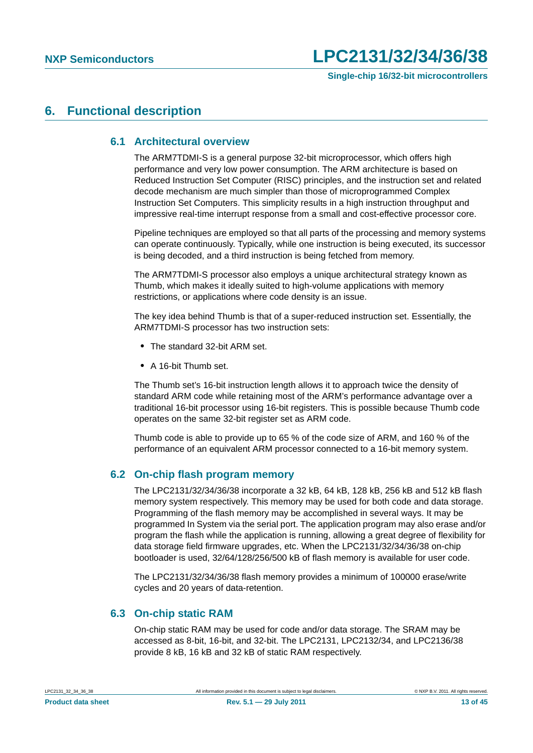### <span id="page-12-1"></span><span id="page-12-0"></span>**6. Functional description**

### **6.1 Architectural overview**

The ARM7TDMI-S is a general purpose 32-bit microprocessor, which offers high performance and very low power consumption. The ARM architecture is based on Reduced Instruction Set Computer (RISC) principles, and the instruction set and related decode mechanism are much simpler than those of microprogrammed Complex Instruction Set Computers. This simplicity results in a high instruction throughput and impressive real-time interrupt response from a small and cost-effective processor core.

Pipeline techniques are employed so that all parts of the processing and memory systems can operate continuously. Typically, while one instruction is being executed, its successor is being decoded, and a third instruction is being fetched from memory.

The ARM7TDMI-S processor also employs a unique architectural strategy known as Thumb, which makes it ideally suited to high-volume applications with memory restrictions, or applications where code density is an issue.

The key idea behind Thumb is that of a super-reduced instruction set. Essentially, the ARM7TDMI-S processor has two instruction sets:

- **•** The standard 32-bit ARM set.
- **•** A 16-bit Thumb set.

The Thumb set's 16-bit instruction length allows it to approach twice the density of standard ARM code while retaining most of the ARM's performance advantage over a traditional 16-bit processor using 16-bit registers. This is possible because Thumb code operates on the same 32-bit register set as ARM code.

Thumb code is able to provide up to 65 % of the code size of ARM, and 160 % of the performance of an equivalent ARM processor connected to a 16-bit memory system.

### <span id="page-12-2"></span>**6.2 On-chip flash program memory**

The LPC2131/32/34/36/38 incorporate a 32 kB, 64 kB, 128 kB, 256 kB and 512 kB flash memory system respectively. This memory may be used for both code and data storage. Programming of the flash memory may be accomplished in several ways. It may be programmed In System via the serial port. The application program may also erase and/or program the flash while the application is running, allowing a great degree of flexibility for data storage field firmware upgrades, etc. When the LPC2131/32/34/36/38 on-chip bootloader is used, 32/64/128/256/500 kB of flash memory is available for user code.

The LPC2131/32/34/36/38 flash memory provides a minimum of 100000 erase/write cycles and 20 years of data-retention.

### <span id="page-12-3"></span>**6.3 On-chip static RAM**

On-chip static RAM may be used for code and/or data storage. The SRAM may be accessed as 8-bit, 16-bit, and 32-bit. The LPC2131, LPC2132/34, and LPC2136/38 provide 8 kB, 16 kB and 32 kB of static RAM respectively.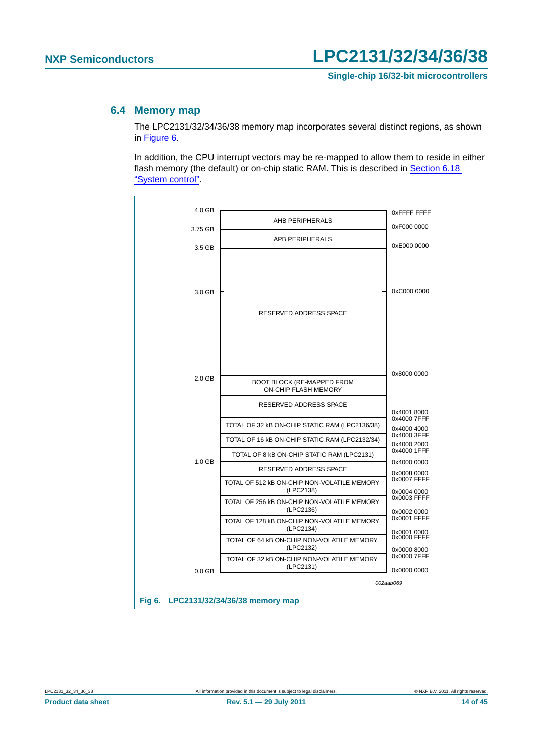### <span id="page-13-1"></span>**6.4 Memory map**

The LPC2131/32/34/36/38 memory map incorporates several distinct regions, as shown in [Figure 6](#page-13-0).

In addition, the CPU interrupt vectors may be re-mapped to allow them to reside in either flash memory (the default) or on-chip static RAM. This is described in [Section 6.18](#page-21-0)  ["System control".](#page-21-0)



<span id="page-13-0"></span>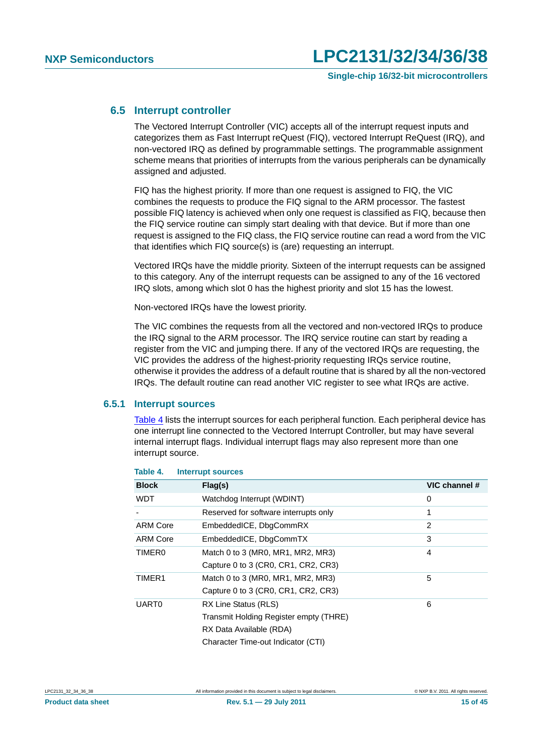### <span id="page-14-1"></span>**6.5 Interrupt controller**

The Vectored Interrupt Controller (VIC) accepts all of the interrupt request inputs and categorizes them as Fast Interrupt reQuest (FIQ), vectored Interrupt ReQuest (IRQ), and non-vectored IRQ as defined by programmable settings. The programmable assignment scheme means that priorities of interrupts from the various peripherals can be dynamically assigned and adjusted.

FIQ has the highest priority. If more than one request is assigned to FIQ, the VIC combines the requests to produce the FIQ signal to the ARM processor. The fastest possible FIQ latency is achieved when only one request is classified as FIQ, because then the FIQ service routine can simply start dealing with that device. But if more than one request is assigned to the FIQ class, the FIQ service routine can read a word from the VIC that identifies which FIQ source(s) is (are) requesting an interrupt.

Vectored IRQs have the middle priority. Sixteen of the interrupt requests can be assigned to this category. Any of the interrupt requests can be assigned to any of the 16 vectored IRQ slots, among which slot 0 has the highest priority and slot 15 has the lowest.

Non-vectored IRQs have the lowest priority.

The VIC combines the requests from all the vectored and non-vectored IRQs to produce the IRQ signal to the ARM processor. The IRQ service routine can start by reading a register from the VIC and jumping there. If any of the vectored IRQs are requesting, the VIC provides the address of the highest-priority requesting IRQs service routine, otherwise it provides the address of a default routine that is shared by all the non-vectored IRQs. The default routine can read another VIC register to see what IRQs are active.

### <span id="page-14-2"></span>**6.5.1 Interrupt sources**

[Table 4](#page-14-0) lists the interrupt sources for each peripheral function. Each peripheral device has one interrupt line connected to the Vectored Interrupt Controller, but may have several internal interrupt flags. Individual interrupt flags may also represent more than one interrupt source.

| <b>Block</b>    | Flag(s)                                | VIC channel # |
|-----------------|----------------------------------------|---------------|
| <b>WDT</b>      | Watchdog Interrupt (WDINT)             | 0             |
|                 | Reserved for software interrupts only  | 1             |
| <b>ARM Core</b> | EmbeddedICE, DbgCommRX                 | 2             |
| <b>ARM Core</b> | EmbeddedICE, DbgCommTX                 | 3             |
| <b>TIMERO</b>   | Match 0 to 3 (MR0, MR1, MR2, MR3)      | 4             |
|                 | Capture 0 to 3 (CR0, CR1, CR2, CR3)    |               |
| TIMER1          | Match 0 to 3 (MR0, MR1, MR2, MR3)      | 5             |
|                 | Capture 0 to 3 (CR0, CR1, CR2, CR3)    |               |
| <b>UART0</b>    | RX Line Status (RLS)                   | 6             |
|                 | Transmit Holding Register empty (THRE) |               |
|                 | RX Data Available (RDA)                |               |
|                 | Character Time-out Indicator (CTI)     |               |

#### <span id="page-14-0"></span>**Table 4. Interrupt sources**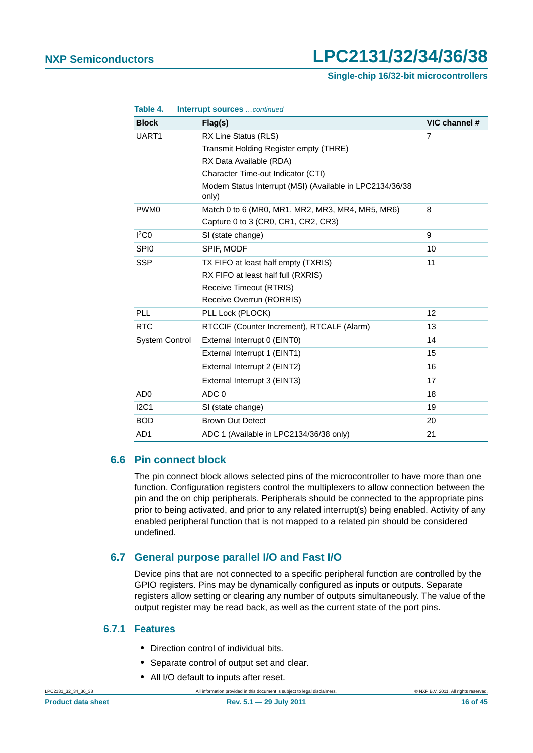#### **Single-chip 16/32-bit microcontrollers**

| Table 4.              | Interrupt sources continued                                       |                |
|-----------------------|-------------------------------------------------------------------|----------------|
| <b>Block</b>          | Flag(s)                                                           | VIC channel #  |
| UART1                 | RX Line Status (RLS)                                              | $\overline{7}$ |
|                       | Transmit Holding Register empty (THRE)                            |                |
|                       | RX Data Available (RDA)                                           |                |
|                       | Character Time-out Indicator (CTI)                                |                |
|                       | Modem Status Interrupt (MSI) (Available in LPC2134/36/38<br>only) |                |
| PWM <sub>0</sub>      | Match 0 to 6 (MR0, MR1, MR2, MR3, MR4, MR5, MR6)                  | 8              |
|                       | Capture 0 to 3 (CR0, CR1, CR2, CR3)                               |                |
| I <sup>2</sup> CO     | SI (state change)                                                 | 9              |
| SPI <sub>0</sub>      | SPIF, MODF                                                        | 10             |
| <b>SSP</b>            | TX FIFO at least half empty (TXRIS)                               | 11             |
|                       | RX FIFO at least half full (RXRIS)                                |                |
|                       | Receive Timeout (RTRIS)                                           |                |
|                       | Receive Overrun (RORRIS)                                          |                |
| <b>PLL</b>            | PLL Lock (PLOCK)                                                  | 12             |
| <b>RTC</b>            | RTCCIF (Counter Increment), RTCALF (Alarm)                        | 13             |
| <b>System Control</b> | External Interrupt 0 (EINT0)                                      | 14             |
|                       | External Interrupt 1 (EINT1)                                      | 15             |
|                       | External Interrupt 2 (EINT2)                                      | 16             |
|                       | External Interrupt 3 (EINT3)                                      | 17             |
| AD <sub>0</sub>       | ADC <sub>0</sub>                                                  | 18             |
| I2C1                  | SI (state change)                                                 | 19             |
| <b>BOD</b>            | <b>Brown Out Detect</b>                                           | 20             |
| AD <sub>1</sub>       | ADC 1 (Available in LPC2134/36/38 only)                           | 21             |

### <span id="page-15-0"></span>**6.6 Pin connect block**

The pin connect block allows selected pins of the microcontroller to have more than one function. Configuration registers control the multiplexers to allow connection between the pin and the on chip peripherals. Peripherals should be connected to the appropriate pins prior to being activated, and prior to any related interrupt(s) being enabled. Activity of any enabled peripheral function that is not mapped to a related pin should be considered undefined.

### <span id="page-15-1"></span>**6.7 General purpose parallel I/O and Fast I/O**

Device pins that are not connected to a specific peripheral function are controlled by the GPIO registers. Pins may be dynamically configured as inputs or outputs. Separate registers allow setting or clearing any number of outputs simultaneously. The value of the output register may be read back, as well as the current state of the port pins.

### <span id="page-15-2"></span>**6.7.1 Features**

- **•** Direction control of individual bits.
- **•** Separate control of output set and clear.
- **•** All I/O default to inputs after reset.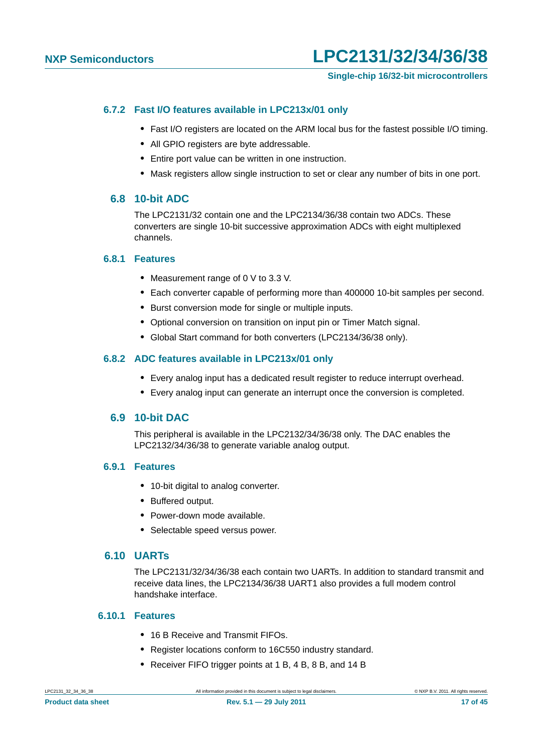### **Single-chip 16/32-bit microcontrollers**

### <span id="page-16-0"></span>**6.7.2 Fast I/O features available in LPC213x/01 only**

- **•** Fast I/O registers are located on the ARM local bus for the fastest possible I/O timing.
- **•** All GPIO registers are byte addressable.
- **•** Entire port value can be written in one instruction.
- **•** Mask registers allow single instruction to set or clear any number of bits in one port.

### <span id="page-16-1"></span>**6.8 10-bit ADC**

The LPC2131/32 contain one and the LPC2134/36/38 contain two ADCs. These converters are single 10-bit successive approximation ADCs with eight multiplexed channels.

### <span id="page-16-2"></span>**6.8.1 Features**

- **•** Measurement range of 0 V to 3.3 V.
- **•** Each converter capable of performing more than 400000 10-bit samples per second.
- **•** Burst conversion mode for single or multiple inputs.
- **•** Optional conversion on transition on input pin or Timer Match signal.
- **•** Global Start command for both converters (LPC2134/36/38 only).

### <span id="page-16-3"></span>**6.8.2 ADC features available in LPC213x/01 only**

- **•** Every analog input has a dedicated result register to reduce interrupt overhead.
- **•** Every analog input can generate an interrupt once the conversion is completed.

### <span id="page-16-4"></span>**6.9 10-bit DAC**

This peripheral is available in the LPC2132/34/36/38 only. The DAC enables the LPC2132/34/36/38 to generate variable analog output.

### <span id="page-16-5"></span>**6.9.1 Features**

- **•** 10-bit digital to analog converter.
- **•** Buffered output.
- **•** Power-down mode available.
- **•** Selectable speed versus power.

### <span id="page-16-6"></span>**6.10 UARTs**

The LPC2131/32/34/36/38 each contain two UARTs. In addition to standard transmit and receive data lines, the LPC2134/36/38 UART1 also provides a full modem control handshake interface.

### <span id="page-16-7"></span>**6.10.1 Features**

- **•** 16 B Receive and Transmit FIFOs.
- **•** Register locations conform to 16C550 industry standard.
- **•** Receiver FIFO trigger points at 1 B, 4 B, 8 B, and 14 B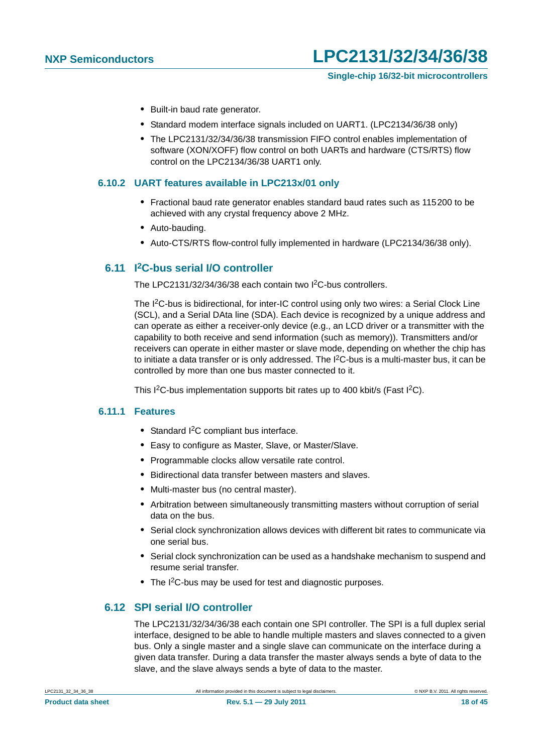- **•** Built-in baud rate generator.
- **•** Standard modem interface signals included on UART1. (LPC2134/36/38 only)
- **•** The LPC2131/32/34/36/38 transmission FIFO control enables implementation of software (XON/XOFF) flow control on both UARTs and hardware (CTS/RTS) flow control on the LPC2134/36/38 UART1 only.

### <span id="page-17-0"></span>**6.10.2 UART features available in LPC213x/01 only**

- **•** Fractional baud rate generator enables standard baud rates such as 115200 to be achieved with any crystal frequency above 2 MHz.
- **•** Auto-bauding.
- **•** Auto-CTS/RTS flow-control fully implemented in hardware (LPC2134/36/38 only).

### <span id="page-17-1"></span>**6.11 I2C-bus serial I/O controller**

The LPC2131/32/34/36/38 each contain two I2C-bus controllers.

The I<sup>2</sup>C-bus is bidirectional, for inter-IC control using only two wires: a Serial Clock Line (SCL), and a Serial DAta line (SDA). Each device is recognized by a unique address and can operate as either a receiver-only device (e.g., an LCD driver or a transmitter with the capability to both receive and send information (such as memory)). Transmitters and/or receivers can operate in either master or slave mode, depending on whether the chip has to initiate a data transfer or is only addressed. The I<sup>2</sup>C-bus is a multi-master bus, it can be controlled by more than one bus master connected to it.

This I<sup>2</sup>C-bus implementation supports bit rates up to 400 kbit/s (Fast I<sup>2</sup>C).

#### <span id="page-17-2"></span>**6.11.1 Features**

- **•** Standard I2C compliant bus interface.
- **•** Easy to configure as Master, Slave, or Master/Slave.
- **•** Programmable clocks allow versatile rate control.
- **•** Bidirectional data transfer between masters and slaves.
- **•** Multi-master bus (no central master).
- **•** Arbitration between simultaneously transmitting masters without corruption of serial data on the bus.
- **•** Serial clock synchronization allows devices with different bit rates to communicate via one serial bus.
- **•** Serial clock synchronization can be used as a handshake mechanism to suspend and resume serial transfer.
- The I<sup>2</sup>C-bus may be used for test and diagnostic purposes.

### <span id="page-17-3"></span>**6.12 SPI serial I/O controller**

The LPC2131/32/34/36/38 each contain one SPI controller. The SPI is a full duplex serial interface, designed to be able to handle multiple masters and slaves connected to a given bus. Only a single master and a single slave can communicate on the interface during a given data transfer. During a data transfer the master always sends a byte of data to the slave, and the slave always sends a byte of data to the master.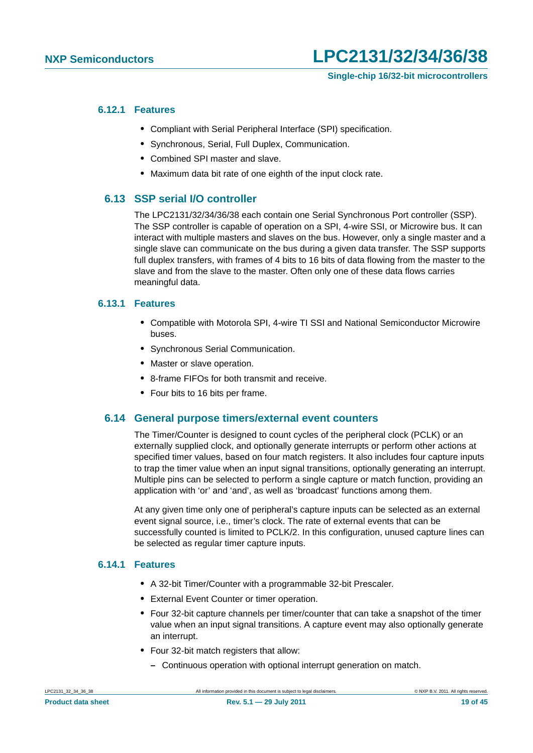### <span id="page-18-0"></span>**6.12.1 Features**

- **•** Compliant with Serial Peripheral Interface (SPI) specification.
- **•** Synchronous, Serial, Full Duplex, Communication.
- **•** Combined SPI master and slave.
- **•** Maximum data bit rate of one eighth of the input clock rate.

### <span id="page-18-1"></span>**6.13 SSP serial I/O controller**

The LPC2131/32/34/36/38 each contain one Serial Synchronous Port controller (SSP). The SSP controller is capable of operation on a SPI, 4-wire SSI, or Microwire bus. It can interact with multiple masters and slaves on the bus. However, only a single master and a single slave can communicate on the bus during a given data transfer. The SSP supports full duplex transfers, with frames of 4 bits to 16 bits of data flowing from the master to the slave and from the slave to the master. Often only one of these data flows carries meaningful data.

### <span id="page-18-2"></span>**6.13.1 Features**

- **•** Compatible with Motorola SPI, 4-wire TI SSI and National Semiconductor Microwire buses.
- **•** Synchronous Serial Communication.
- **•** Master or slave operation.
- **•** 8-frame FIFOs for both transmit and receive.
- **•** Four bits to 16 bits per frame.

### <span id="page-18-3"></span>**6.14 General purpose timers/external event counters**

The Timer/Counter is designed to count cycles of the peripheral clock (PCLK) or an externally supplied clock, and optionally generate interrupts or perform other actions at specified timer values, based on four match registers. It also includes four capture inputs to trap the timer value when an input signal transitions, optionally generating an interrupt. Multiple pins can be selected to perform a single capture or match function, providing an application with 'or' and 'and', as well as 'broadcast' functions among them.

At any given time only one of peripheral's capture inputs can be selected as an external event signal source, i.e., timer's clock. The rate of external events that can be successfully counted is limited to PCLK/2. In this configuration, unused capture lines can be selected as regular timer capture inputs.

### <span id="page-18-4"></span>**6.14.1 Features**

- **•** A 32-bit Timer/Counter with a programmable 32-bit Prescaler.
- **•** External Event Counter or timer operation.
- **•** Four 32-bit capture channels per timer/counter that can take a snapshot of the timer value when an input signal transitions. A capture event may also optionally generate an interrupt.
- **•** Four 32-bit match registers that allow:
	- **–** Continuous operation with optional interrupt generation on match.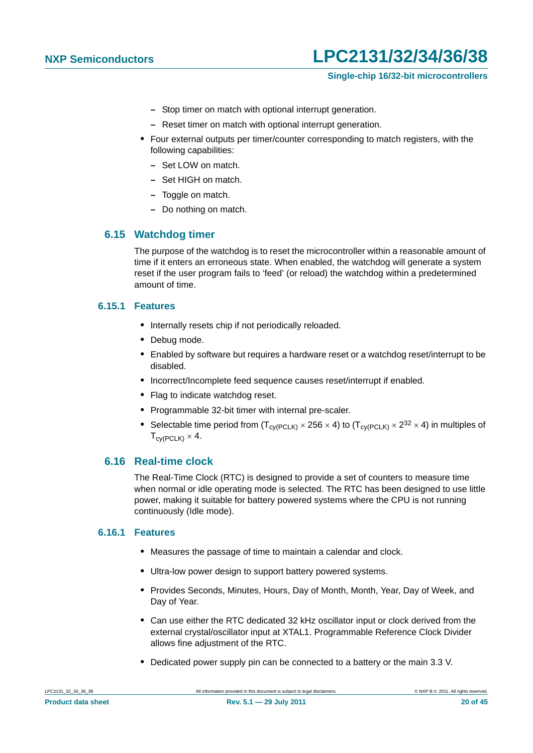### **Single-chip 16/32-bit microcontrollers**

- **–** Stop timer on match with optional interrupt generation.
- **–** Reset timer on match with optional interrupt generation.
- **•** Four external outputs per timer/counter corresponding to match registers, with the following capabilities:
	- **–** Set LOW on match.
	- **–** Set HIGH on match.
	- **–** Toggle on match.
	- **–** Do nothing on match.

### <span id="page-19-0"></span>**6.15 Watchdog timer**

The purpose of the watchdog is to reset the microcontroller within a reasonable amount of time if it enters an erroneous state. When enabled, the watchdog will generate a system reset if the user program fails to 'feed' (or reload) the watchdog within a predetermined amount of time.

### <span id="page-19-1"></span>**6.15.1 Features**

- **•** Internally resets chip if not periodically reloaded.
- **•** Debug mode.
- **•** Enabled by software but requires a hardware reset or a watchdog reset/interrupt to be disabled.
- **•** Incorrect/Incomplete feed sequence causes reset/interrupt if enabled.
- **•** Flag to indicate watchdog reset.
- **•** Programmable 32-bit timer with internal pre-scaler.
- Selectable time period from  $(T_{\text{cv(PCLK)}} \times 256 \times 4)$  to  $(T_{\text{cv(PCLK)}} \times 2^{32} \times 4)$  in multiples of  $T_{\text{c}V(\text{PCL K})} \times 4$ .

### <span id="page-19-2"></span>**6.16 Real-time clock**

The Real-Time Clock (RTC) is designed to provide a set of counters to measure time when normal or idle operating mode is selected. The RTC has been designed to use little power, making it suitable for battery powered systems where the CPU is not running continuously (Idle mode).

### <span id="page-19-3"></span>**6.16.1 Features**

- **•** Measures the passage of time to maintain a calendar and clock.
- **•** Ultra-low power design to support battery powered systems.
- **•** Provides Seconds, Minutes, Hours, Day of Month, Month, Year, Day of Week, and Day of Year.
- **•** Can use either the RTC dedicated 32 kHz oscillator input or clock derived from the external crystal/oscillator input at XTAL1. Programmable Reference Clock Divider allows fine adjustment of the RTC.
- **•** Dedicated power supply pin can be connected to a battery or the main 3.3 V.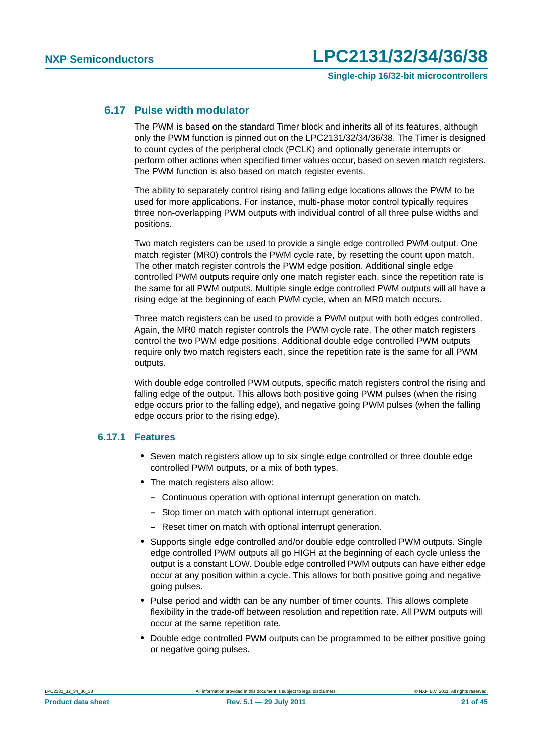### <span id="page-20-0"></span>**6.17 Pulse width modulator**

The PWM is based on the standard Timer block and inherits all of its features, although only the PWM function is pinned out on the LPC2131/32/34/36/38. The Timer is designed to count cycles of the peripheral clock (PCLK) and optionally generate interrupts or perform other actions when specified timer values occur, based on seven match registers. The PWM function is also based on match register events.

The ability to separately control rising and falling edge locations allows the PWM to be used for more applications. For instance, multi-phase motor control typically requires three non-overlapping PWM outputs with individual control of all three pulse widths and positions.

Two match registers can be used to provide a single edge controlled PWM output. One match register (MR0) controls the PWM cycle rate, by resetting the count upon match. The other match register controls the PWM edge position. Additional single edge controlled PWM outputs require only one match register each, since the repetition rate is the same for all PWM outputs. Multiple single edge controlled PWM outputs will all have a rising edge at the beginning of each PWM cycle, when an MR0 match occurs.

Three match registers can be used to provide a PWM output with both edges controlled. Again, the MR0 match register controls the PWM cycle rate. The other match registers control the two PWM edge positions. Additional double edge controlled PWM outputs require only two match registers each, since the repetition rate is the same for all PWM outputs.

With double edge controlled PWM outputs, specific match registers control the rising and falling edge of the output. This allows both positive going PWM pulses (when the rising edge occurs prior to the falling edge), and negative going PWM pulses (when the falling edge occurs prior to the rising edge).

### <span id="page-20-1"></span>**6.17.1 Features**

- **•** Seven match registers allow up to six single edge controlled or three double edge controlled PWM outputs, or a mix of both types.
- **•** The match registers also allow:
	- **–** Continuous operation with optional interrupt generation on match.
	- **–** Stop timer on match with optional interrupt generation.
	- **–** Reset timer on match with optional interrupt generation.
- **•** Supports single edge controlled and/or double edge controlled PWM outputs. Single edge controlled PWM outputs all go HIGH at the beginning of each cycle unless the output is a constant LOW. Double edge controlled PWM outputs can have either edge occur at any position within a cycle. This allows for both positive going and negative going pulses.
- **•** Pulse period and width can be any number of timer counts. This allows complete flexibility in the trade-off between resolution and repetition rate. All PWM outputs will occur at the same repetition rate.
- **•** Double edge controlled PWM outputs can be programmed to be either positive going or negative going pulses.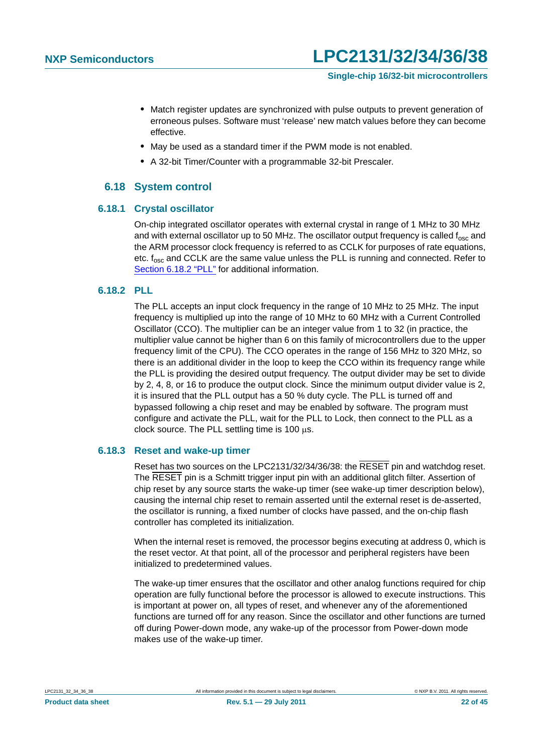- **•** Match register updates are synchronized with pulse outputs to prevent generation of erroneous pulses. Software must 'release' new match values before they can become effective.
- **•** May be used as a standard timer if the PWM mode is not enabled.
- **•** A 32-bit Timer/Counter with a programmable 32-bit Prescaler.

### **6.18 System control**

#### <span id="page-21-2"></span><span id="page-21-0"></span>**6.18.1 Crystal oscillator**

On-chip integrated oscillator operates with external crystal in range of 1 MHz to 30 MHz and with external oscillator up to 50 MHz. The oscillator output frequency is called f<sub>osc</sub> and the ARM processor clock frequency is referred to as CCLK for purposes of rate equations, etc. f<sub>osc</sub> and CCLK are the same value unless the PLL is running and connected. Refer to [Section 6.18.2 "PLL"](#page-21-1) for additional information.

### <span id="page-21-1"></span>**6.18.2 PLL**

The PLL accepts an input clock frequency in the range of 10 MHz to 25 MHz. The input frequency is multiplied up into the range of 10 MHz to 60 MHz with a Current Controlled Oscillator (CCO). The multiplier can be an integer value from 1 to 32 (in practice, the multiplier value cannot be higher than 6 on this family of microcontrollers due to the upper frequency limit of the CPU). The CCO operates in the range of 156 MHz to 320 MHz, so there is an additional divider in the loop to keep the CCO within its frequency range while the PLL is providing the desired output frequency. The output divider may be set to divide by 2, 4, 8, or 16 to produce the output clock. Since the minimum output divider value is 2, it is insured that the PLL output has a 50 % duty cycle. The PLL is turned off and bypassed following a chip reset and may be enabled by software. The program must configure and activate the PLL, wait for the PLL to Lock, then connect to the PLL as a clock source. The PLL settling time is  $100 \text{ }\mu\text{s}$ .

### <span id="page-21-3"></span>**6.18.3 Reset and wake-up timer**

Reset has two sources on the LPC2131/32/34/36/38: the RESET pin and watchdog reset. The RESET pin is a Schmitt trigger input pin with an additional glitch filter. Assertion of chip reset by any source starts the wake-up timer (see wake-up timer description below), causing the internal chip reset to remain asserted until the external reset is de-asserted, the oscillator is running, a fixed number of clocks have passed, and the on-chip flash controller has completed its initialization.

When the internal reset is removed, the processor begins executing at address 0, which is the reset vector. At that point, all of the processor and peripheral registers have been initialized to predetermined values.

The wake-up timer ensures that the oscillator and other analog functions required for chip operation are fully functional before the processor is allowed to execute instructions. This is important at power on, all types of reset, and whenever any of the aforementioned functions are turned off for any reason. Since the oscillator and other functions are turned off during Power-down mode, any wake-up of the processor from Power-down mode makes use of the wake-up timer.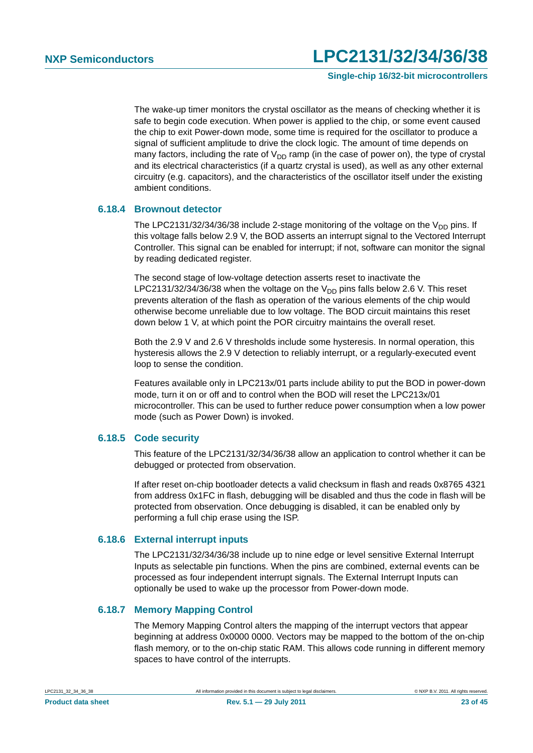**Single-chip 16/32-bit microcontrollers**

The wake-up timer monitors the crystal oscillator as the means of checking whether it is safe to begin code execution. When power is applied to the chip, or some event caused the chip to exit Power-down mode, some time is required for the oscillator to produce a signal of sufficient amplitude to drive the clock logic. The amount of time depends on many factors, including the rate of  $V_{DD}$  ramp (in the case of power on), the type of crystal and its electrical characteristics (if a quartz crystal is used), as well as any other external circuitry (e.g. capacitors), and the characteristics of the oscillator itself under the existing ambient conditions.

### <span id="page-22-0"></span>**6.18.4 Brownout detector**

The LPC2131/32/34/36/38 include 2-stage monitoring of the voltage on the  $V_{DD}$  pins. If this voltage falls below 2.9 V, the BOD asserts an interrupt signal to the Vectored Interrupt Controller. This signal can be enabled for interrupt; if not, software can monitor the signal by reading dedicated register.

The second stage of low-voltage detection asserts reset to inactivate the LPC2131/32/34/36/38 when the voltage on the  $V_{DD}$  pins falls below 2.6 V. This reset prevents alteration of the flash as operation of the various elements of the chip would otherwise become unreliable due to low voltage. The BOD circuit maintains this reset down below 1 V, at which point the POR circuitry maintains the overall reset.

Both the 2.9 V and 2.6 V thresholds include some hysteresis. In normal operation, this hysteresis allows the 2.9 V detection to reliably interrupt, or a regularly-executed event loop to sense the condition.

Features available only in LPC213x/01 parts include ability to put the BOD in power-down mode, turn it on or off and to control when the BOD will reset the LPC213x/01 microcontroller. This can be used to further reduce power consumption when a low power mode (such as Power Down) is invoked.

### <span id="page-22-1"></span>**6.18.5 Code security**

This feature of the LPC2131/32/34/36/38 allow an application to control whether it can be debugged or protected from observation.

If after reset on-chip bootloader detects a valid checksum in flash and reads 0x8765 4321 from address 0x1FC in flash, debugging will be disabled and thus the code in flash will be protected from observation. Once debugging is disabled, it can be enabled only by performing a full chip erase using the ISP.

#### <span id="page-22-2"></span>**6.18.6 External interrupt inputs**

The LPC2131/32/34/36/38 include up to nine edge or level sensitive External Interrupt Inputs as selectable pin functions. When the pins are combined, external events can be processed as four independent interrupt signals. The External Interrupt Inputs can optionally be used to wake up the processor from Power-down mode.

### <span id="page-22-3"></span>**6.18.7 Memory Mapping Control**

The Memory Mapping Control alters the mapping of the interrupt vectors that appear beginning at address 0x0000 0000. Vectors may be mapped to the bottom of the on-chip flash memory, or to the on-chip static RAM. This allows code running in different memory spaces to have control of the interrupts.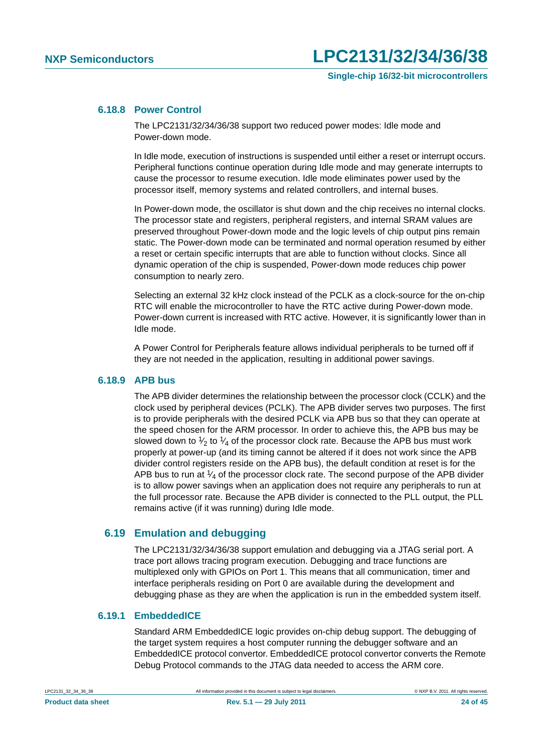### <span id="page-23-0"></span>**6.18.8 Power Control**

The LPC2131/32/34/36/38 support two reduced power modes: Idle mode and Power-down mode.

In Idle mode, execution of instructions is suspended until either a reset or interrupt occurs. Peripheral functions continue operation during Idle mode and may generate interrupts to cause the processor to resume execution. Idle mode eliminates power used by the processor itself, memory systems and related controllers, and internal buses.

In Power-down mode, the oscillator is shut down and the chip receives no internal clocks. The processor state and registers, peripheral registers, and internal SRAM values are preserved throughout Power-down mode and the logic levels of chip output pins remain static. The Power-down mode can be terminated and normal operation resumed by either a reset or certain specific interrupts that are able to function without clocks. Since all dynamic operation of the chip is suspended, Power-down mode reduces chip power consumption to nearly zero.

Selecting an external 32 kHz clock instead of the PCLK as a clock-source for the on-chip RTC will enable the microcontroller to have the RTC active during Power-down mode. Power-down current is increased with RTC active. However, it is significantly lower than in Idle mode.

A Power Control for Peripherals feature allows individual peripherals to be turned off if they are not needed in the application, resulting in additional power savings.

#### <span id="page-23-1"></span>**6.18.9 APB bus**

The APB divider determines the relationship between the processor clock (CCLK) and the clock used by peripheral devices (PCLK). The APB divider serves two purposes. The first is to provide peripherals with the desired PCLK via APB bus so that they can operate at the speed chosen for the ARM processor. In order to achieve this, the APB bus may be slowed down to  $\frac{1}{2}$  to  $\frac{1}{4}$  of the processor clock rate. Because the APB bus must work properly at power-up (and its timing cannot be altered if it does not work since the APB divider control registers reside on the APB bus), the default condition at reset is for the APB bus to run at  $\frac{1}{4}$  of the processor clock rate. The second purpose of the APB divider is to allow power savings when an application does not require any peripherals to run at the full processor rate. Because the APB divider is connected to the PLL output, the PLL remains active (if it was running) during Idle mode.

### <span id="page-23-2"></span>**6.19 Emulation and debugging**

The LPC2131/32/34/36/38 support emulation and debugging via a JTAG serial port. A trace port allows tracing program execution. Debugging and trace functions are multiplexed only with GPIOs on Port 1. This means that all communication, timer and interface peripherals residing on Port 0 are available during the development and debugging phase as they are when the application is run in the embedded system itself.

### <span id="page-23-3"></span>**6.19.1 EmbeddedICE**

Standard ARM EmbeddedICE logic provides on-chip debug support. The debugging of the target system requires a host computer running the debugger software and an EmbeddedICE protocol convertor. EmbeddedICE protocol convertor converts the Remote Debug Protocol commands to the JTAG data needed to access the ARM core.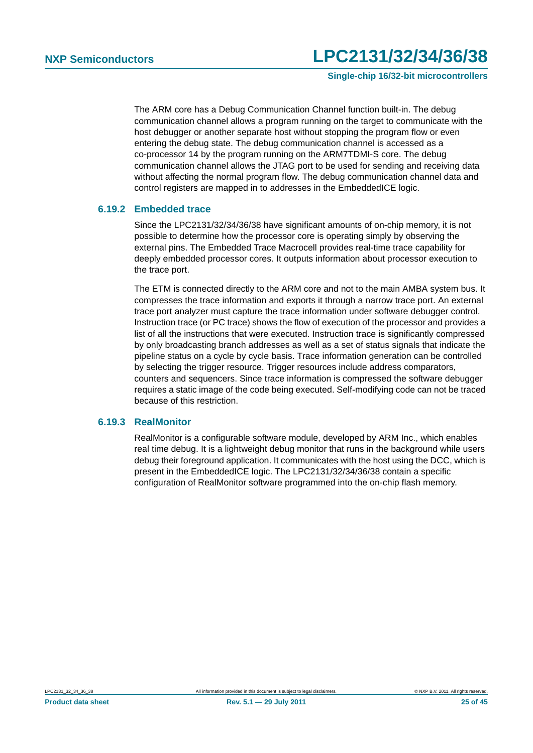**Single-chip 16/32-bit microcontrollers**

The ARM core has a Debug Communication Channel function built-in. The debug communication channel allows a program running on the target to communicate with the host debugger or another separate host without stopping the program flow or even entering the debug state. The debug communication channel is accessed as a co-processor 14 by the program running on the ARM7TDMI-S core. The debug communication channel allows the JTAG port to be used for sending and receiving data without affecting the normal program flow. The debug communication channel data and control registers are mapped in to addresses in the EmbeddedICE logic.

### <span id="page-24-0"></span>**6.19.2 Embedded trace**

Since the LPC2131/32/34/36/38 have significant amounts of on-chip memory, it is not possible to determine how the processor core is operating simply by observing the external pins. The Embedded Trace Macrocell provides real-time trace capability for deeply embedded processor cores. It outputs information about processor execution to the trace port.

The ETM is connected directly to the ARM core and not to the main AMBA system bus. It compresses the trace information and exports it through a narrow trace port. An external trace port analyzer must capture the trace information under software debugger control. Instruction trace (or PC trace) shows the flow of execution of the processor and provides a list of all the instructions that were executed. Instruction trace is significantly compressed by only broadcasting branch addresses as well as a set of status signals that indicate the pipeline status on a cycle by cycle basis. Trace information generation can be controlled by selecting the trigger resource. Trigger resources include address comparators, counters and sequencers. Since trace information is compressed the software debugger requires a static image of the code being executed. Self-modifying code can not be traced because of this restriction.

### <span id="page-24-1"></span>**6.19.3 RealMonitor**

RealMonitor is a configurable software module, developed by ARM Inc., which enables real time debug. It is a lightweight debug monitor that runs in the background while users debug their foreground application. It communicates with the host using the DCC, which is present in the EmbeddedICE logic. The LPC2131/32/34/36/38 contain a specific configuration of RealMonitor software programmed into the on-chip flash memory.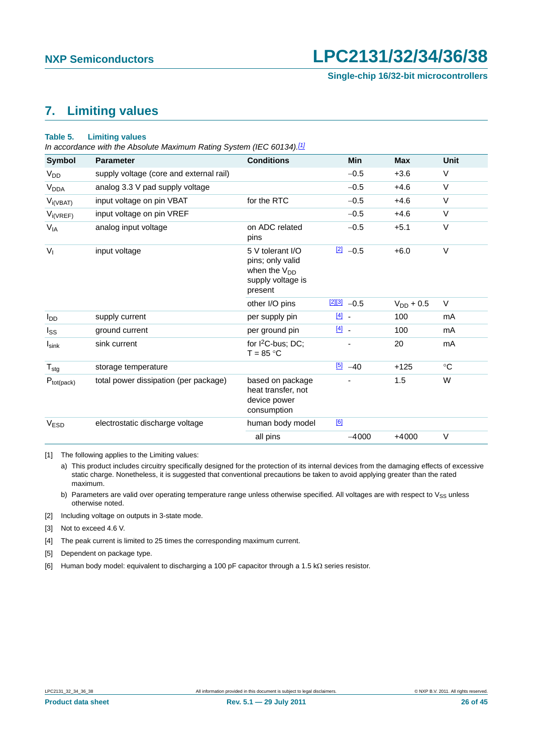## <span id="page-25-7"></span>**7. Limiting values**

#### <span id="page-25-6"></span>**Table 5. Limiting values**

*In accordance with the Absolute Maximum Rating System (IEC 60134)[.\[1\]](#page-25-0)*

| <b>Symbol</b>          | <b>Parameter</b>                        | <b>Conditions</b>                                                                         | <b>Min</b>              | <b>Max</b>     | <b>Unit</b> |
|------------------------|-----------------------------------------|-------------------------------------------------------------------------------------------|-------------------------|----------------|-------------|
| V <sub>DD</sub>        | supply voltage (core and external rail) |                                                                                           | $-0.5$                  | $+3.6$         | $\vee$      |
| <b>V<sub>DDA</sub></b> | analog 3.3 V pad supply voltage         |                                                                                           | $-0.5$                  | $+4.6$         | $\vee$      |
| $V_{i(VBAT)}$          | input voltage on pin VBAT               | for the RTC                                                                               | $-0.5$                  | $+4.6$         | $\vee$      |
| $V_{i(VREF)}$          | input voltage on pin VREF               |                                                                                           | $-0.5$                  | $+4.6$         | $\vee$      |
| $V_{IA}$               | analog input voltage                    | on ADC related<br>pins                                                                    | $-0.5$                  | $+5.1$         | $\vee$      |
| $V_{I}$                | input voltage                           | 5 V tolerant I/O<br>pins; only valid<br>when the $V_{DD}$<br>supply voltage is<br>present | $\boxed{2}$ -0.5        | $+6.0$         | $\vee$      |
|                        |                                         | other I/O pins                                                                            | $\frac{[2][3]}{2}$ -0.5 | $V_{DD}$ + 0.5 | V           |
| l <sub>DD</sub>        | supply current                          | per supply pin                                                                            | $\boxed{4}$             | 100            | mA          |
| $I_{SS}$               | ground current                          | per ground pin                                                                            | $\boxed{4}$             | 100            | mA          |
| $I_{\text{sink}}$      | sink current                            | for $I^2C$ -bus; DC;<br>$T = 85 °C$                                                       |                         | 20             | mA          |
| $T_{\text{stg}}$       | storage temperature                     |                                                                                           | $[5] -40$               | $+125$         | $^{\circ}C$ |
| $P_{tot(pack)}$        | total power dissipation (per package)   | based on package<br>heat transfer, not<br>device power<br>consumption                     |                         | 1.5            | W           |
| <b>VESD</b>            | electrostatic discharge voltage         | human body model                                                                          | [6]                     |                |             |
|                        |                                         | all pins                                                                                  | $-4000$                 | $+4000$        | V           |

<span id="page-25-0"></span>[1] The following applies to the Limiting values:

a) This product includes circuitry specifically designed for the protection of its internal devices from the damaging effects of excessive static charge. Nonetheless, it is suggested that conventional precautions be taken to avoid applying greater than the rated maximum.

b) Parameters are valid over operating temperature range unless otherwise specified. All voltages are with respect to  $V_{SS}$  unless otherwise noted.

<span id="page-25-1"></span>[2] Including voltage on outputs in 3-state mode.

<span id="page-25-2"></span>[3] Not to exceed 4.6 V.

<span id="page-25-3"></span>[4] The peak current is limited to 25 times the corresponding maximum current.

<span id="page-25-4"></span>[5] Dependent on package type.

<span id="page-25-5"></span>[6] Human body model: equivalent to discharging a 100 pF capacitor through a 1.5 k $\Omega$  series resistor.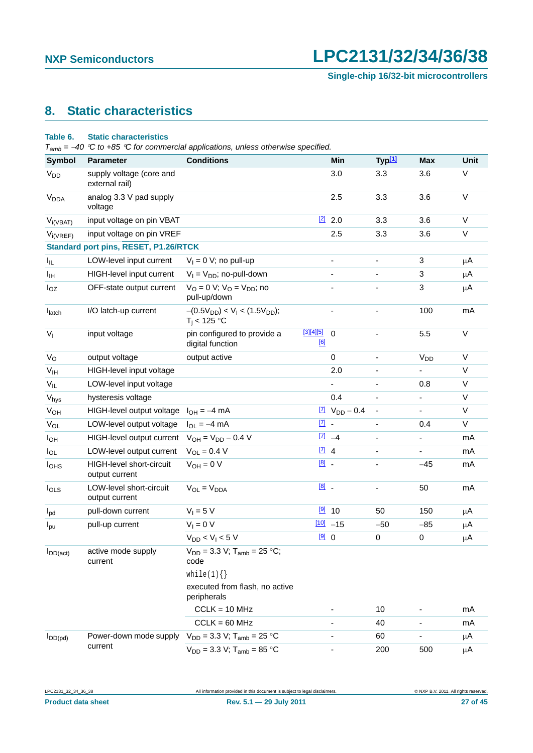## <span id="page-26-1"></span>**8. Static characteristics**

### <span id="page-26-0"></span>**Table 6. Static characteristics**

*Tamb = 40 C to +85 C for commercial applications, unless otherwise specified.*

| <b>Symbol</b>          | <b>Parameter</b>                                  | <b>Conditions</b>                                                |                     | Min                                     | Typ <sup>[1]</sup>           | <b>Max</b>               | Unit   |
|------------------------|---------------------------------------------------|------------------------------------------------------------------|---------------------|-----------------------------------------|------------------------------|--------------------------|--------|
| <b>V<sub>DD</sub></b>  | supply voltage (core and<br>external rail)        |                                                                  |                     | 3.0                                     | 3.3                          | 3.6                      | $\vee$ |
| <b>V<sub>DDA</sub></b> | analog 3.3 V pad supply<br>voltage                |                                                                  |                     | 2.5                                     | 3.3                          | 3.6                      | $\vee$ |
| $V_{i(VBAT)}$          | input voltage on pin VBAT                         |                                                                  |                     | $\frac{[2]}{2}$ 2.0                     | 3.3                          | 3.6                      | $\vee$ |
| $V_{i(VREF)}$          | input voltage on pin VREF                         |                                                                  |                     | 2.5                                     | 3.3                          | 3.6                      | V      |
|                        | <b>Standard port pins, RESET, P1.26/RTCK</b>      |                                                                  |                     |                                         |                              |                          |        |
| I <sub>IL</sub>        | LOW-level input current                           | $V_1 = 0$ V; no pull-up                                          |                     | $\overline{\phantom{a}}$                |                              | 3                        | μA     |
| Iщ                     | HIGH-level input current                          | $V_1 = V_{DD}$ ; no-pull-down                                    |                     | $\overline{\phantom{0}}$                | -                            | 3                        | μA     |
| $I_{OZ}$               | OFF-state output current                          | $V_{\rm O} = 0$ V; $V_{\rm O} = V_{\rm DD}$ ; no<br>pull-up/down |                     |                                         |                              | 3                        | μA     |
| latch                  | I/O latch-up current                              | $-(0.5V_{DD}) < V_I < (1.5V_{DD});$<br>$T_i$ < 125 °C            |                     | $\qquad \qquad \blacksquare$            | $\overline{\phantom{0}}$     | 100                      | mA     |
| $V_{I}$                | input voltage                                     | pin configured to provide a<br>digital function                  | $[3][4][5]$<br>[6]  | $\Omega$                                |                              | 5.5                      | $\vee$ |
| $V_{\rm O}$            | output voltage                                    | output active                                                    |                     | 0                                       | ۰                            | <b>V<sub>DD</sub></b>    | $\vee$ |
| V <sub>IH</sub>        | HIGH-level input voltage                          |                                                                  |                     | 2.0                                     | -                            | ÷,                       | $\vee$ |
| $V_{IL}$               | LOW-level input voltage                           |                                                                  |                     |                                         |                              | 0.8                      | $\vee$ |
| Vhys                   | hysteresis voltage                                |                                                                  |                     | 0.4                                     | $\overline{\phantom{a}}$     | $\blacksquare$           | V      |
| <b>V<sub>OH</sub></b>  | HIGH-level output voltage                         | $I_{OH} = -4$ mA                                                 |                     | $\frac{[7]}{[7]}$ V <sub>DD</sub> - 0.4 | $\overline{\phantom{a}}$     | -                        | $\vee$ |
| $V_{OL}$               | LOW-level output voltage                          | $I_{OL} = -4$ mA                                                 | $\underline{[7]}$ . |                                         | $\qquad \qquad \blacksquare$ | 0.4                      | V      |
| $I_{OH}$               | HIGH-level output current                         | $V_{OH} = V_{DD} - 0.4 V$                                        |                     | $\boxed{7}$ -4                          | $\overline{\phantom{a}}$     | -                        | mA     |
| $I_{OL}$               | LOW-level output current                          | $V_{OL} = 0.4 V$                                                 | $\boxed{7}$ 4       |                                         | $\overline{\phantom{a}}$     | -                        | mA     |
| I <sub>OHS</sub>       | <b>HIGH-level short-circuit</b><br>output current | $V_{OH} = 0 V$                                                   | $\boxed{8}$ .       |                                         |                              | $-45$                    | mA     |
| $I_{OLS}$              | LOW-level short-circuit<br>output current         | $V_{OL} = V_{DDA}$                                               | $[8]$ .             |                                         | $\qquad \qquad \blacksquare$ | 50                       | mA     |
| $I_{\text{pd}}$        | pull-down current                                 | $V_1 = 5 V$                                                      |                     | $[9]$ 10                                | 50                           | 150                      | μA     |
| $I_{\text{pu}}$        | pull-up current                                   | $V_1 = 0 V$                                                      |                     | $100 - 15$                              | $-50$                        | $-85$                    | μA     |
|                        |                                                   | $V_{DD}$ < $V_1$ < 5 V                                           | [9]0                |                                         | 0                            | 0                        | μA     |
| $I_{DD(act)}$          | active mode supply<br>current                     | $V_{DD}$ = 3.3 V; T <sub>amb</sub> = 25 °C;<br>code              |                     |                                         |                              |                          |        |
|                        |                                                   | while(1) $\{\}$                                                  |                     |                                         |                              |                          |        |
|                        |                                                   | executed from flash, no active<br>peripherals                    |                     |                                         |                              |                          |        |
|                        |                                                   | $CCLK = 10 MHz$                                                  |                     |                                         | 10                           |                          | mA     |
|                        |                                                   | $CCLK = 60 MHz$                                                  |                     |                                         | 40                           | $\overline{\phantom{0}}$ | mA     |
| $I_{DD(pd)}$           | Power-down mode supply                            | $V_{DD} = 3.3 V$ ; T <sub>amb</sub> = 25 °C                      |                     |                                         | 60                           |                          | μA     |
|                        | current                                           | $V_{DD} = 3.3 V$ ; T <sub>amb</sub> = 85 °C                      |                     |                                         | 200                          | 500                      | μA     |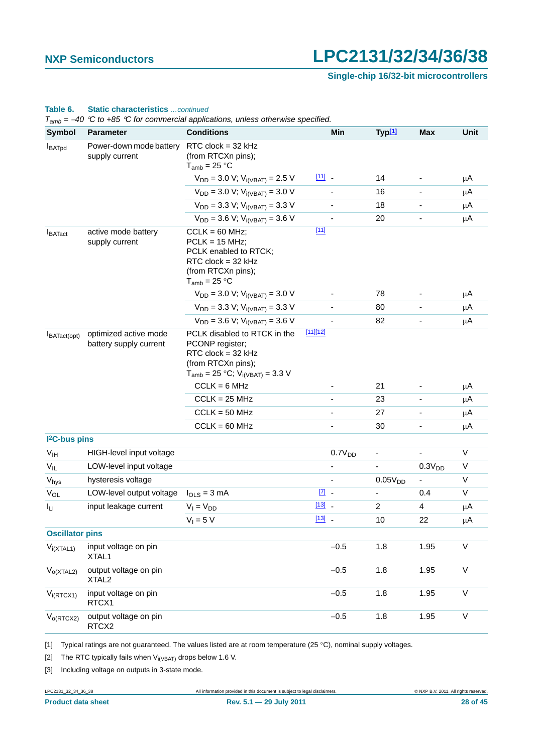**Single-chip 16/32-bit microcontrollers**

| <b>Symbol</b>              | <b>Parameter</b>                                | <b>Conditions</b>                                                                                                                         |               | Min                          | Typ <sup>[1]</sup>  | <b>Max</b>                   | Unit    |
|----------------------------|-------------------------------------------------|-------------------------------------------------------------------------------------------------------------------------------------------|---------------|------------------------------|---------------------|------------------------------|---------|
| <b>I</b> BATpd             | Power-down mode battery<br>supply current       | RTC $clock = 32 kHz$<br>(from RTCXn pins);<br>$T_{amb}$ = 25 °C                                                                           |               |                              |                     |                              |         |
|                            |                                                 | $V_{DD} = 3.0 V; V_{i(VBAT)} = 2.5 V$                                                                                                     | $[11]$ $-$    |                              | 14                  |                              | μA      |
|                            |                                                 | $V_{DD} = 3.0 V; V_{i(VBAT)} = 3.0 V$                                                                                                     |               |                              | 16                  |                              | μA      |
|                            |                                                 | $V_{DD}$ = 3.3 V; $V_{i(VBAT)}$ = 3.3 V                                                                                                   |               | $\qquad \qquad \blacksquare$ | 18                  | $\overline{\phantom{a}}$     | μA      |
|                            |                                                 | $V_{DD}$ = 3.6 V; V <sub>i(VBAT)</sub> = 3.6 V                                                                                            |               |                              | 20                  |                              | μA      |
| <b>I</b> BATact            | active mode battery<br>supply current           | $CCLK = 60 MHz$ :<br>$PCLK = 15 MHz;$<br>PCLK enabled to RTCK;<br>RTC $clock = 32 kHz$<br>(from RTCXn pins);<br>$T_{amb}$ = 25 °C         | $[11]$        |                              |                     |                              |         |
|                            |                                                 | $V_{DD}$ = 3.0 V; V <sub>i(VBAT)</sub> = 3.0 V                                                                                            |               |                              | 78                  |                              | μA      |
|                            |                                                 | $V_{DD}$ = 3.3 V; $V_{i(VBAT)}$ = 3.3 V                                                                                                   |               |                              | 80                  | $\overline{\phantom{a}}$     | μA      |
|                            |                                                 | $V_{DD}$ = 3.6 V; V <sub>i(VBAT)</sub> = 3.6 V                                                                                            |               |                              | 82                  |                              | μA      |
| BATact(opt)                | optimized active mode<br>battery supply current | PCLK disabled to RTCK in the<br>PCONP register;<br>RTC clock = $32$ kHz<br>(from RTCXn pins);<br>$T_{amb}$ = 25 °C; $V_{i(VBAT)}$ = 3.3 V | $[11][12]$    |                              |                     |                              |         |
|                            |                                                 | $CCLK = 6 MHz$                                                                                                                            |               |                              | 21                  |                              | μA      |
|                            |                                                 | $CCLK = 25 MHz$                                                                                                                           |               |                              | 23                  |                              | μA      |
|                            |                                                 | $CCLK = 50 MHz$                                                                                                                           |               |                              | 27                  | $\qquad \qquad \blacksquare$ | μA      |
|                            |                                                 | $CCLK = 60 MHz$                                                                                                                           |               |                              | 30                  |                              | $\mu$ A |
| I <sup>2</sup> C-bus pins  |                                                 |                                                                                                                                           |               |                              |                     |                              |         |
| $\mathsf{V}_{\mathsf{IH}}$ | HIGH-level input voltage                        |                                                                                                                                           |               | 0.7V <sub>DD</sub>           | $\blacksquare$      |                              | V       |
| $V_{IL}$                   | LOW-level input voltage                         |                                                                                                                                           |               | ÷,                           | $\blacksquare$      | 0.3V <sub>DD</sub>           | V       |
| Vhys                       | hysteresis voltage                              |                                                                                                                                           |               |                              | 0.05V <sub>DD</sub> |                              | $\vee$  |
| $V_{OL}$                   | LOW-level output voltage                        | $I_{OLS} = 3$ mA                                                                                                                          | $\boxed{7}$ - |                              | $\blacksquare$      | 0.4                          | V       |
| Iц                         | input leakage current                           | $V_1 = V_{DD}$                                                                                                                            | $[13]$ $-$    |                              | $\overline{c}$      | 4                            | μA      |
|                            |                                                 | $V_1 = 5 V$                                                                                                                               | $[13]$        |                              | 10                  | 22                           | μA      |
| <b>Oscillator pins</b>     |                                                 |                                                                                                                                           |               |                              |                     |                              |         |
| $V_{i(XTAL1)}$             | input voltage on pin<br>XTAL1                   |                                                                                                                                           |               | $-0.5$                       | 1.8                 | 1.95                         | V       |
| $V_{O(XTAL2)}$             | output voltage on pin<br>XTAL <sub>2</sub>      |                                                                                                                                           |               | $-0.5$                       | 1.8                 | 1.95                         | V       |
| $V_{i(RTCX1)}$             | input voltage on pin<br>RTCX1                   |                                                                                                                                           |               | $-0.5$                       | 1.8                 | 1.95                         | $\vee$  |
| $V_{o(RTCX2)}$             | output voltage on pin<br>RTCX2                  |                                                                                                                                           |               | $-0.5$                       | 1.8                 | 1.95                         | V       |

#### **Table 6. Static characteristics** *…continued*

<span id="page-27-0"></span>[1] Typical ratings are not guaranteed. The values listed are at room temperature (25 °C), nominal supply voltages.

<span id="page-27-1"></span>[2] The RTC typically fails when  $V_{i(VBAT)}$  drops below 1.6 V.

<span id="page-27-2"></span>[3] Including voltage on outputs in 3-state mode.

LPC2131\_32\_34\_36\_38 All information provided in this document is subject to legal disclaimers. © NXP B.V. 2011. All rights reserved.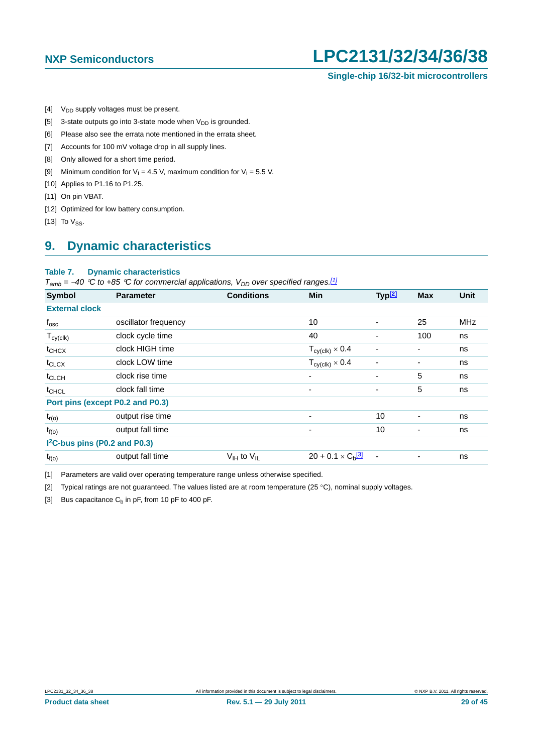### **Single-chip 16/32-bit microcontrollers**

- <span id="page-28-0"></span>[4]  $V_{DD}$  supply voltages must be present.
- <span id="page-28-1"></span>[5] 3-state outputs go into 3-state mode when  $V_{DD}$  is grounded.
- <span id="page-28-2"></span>[6] Please also see the errata note mentioned in the errata sheet.
- <span id="page-28-3"></span>[7] Accounts for 100 mV voltage drop in all supply lines.
- <span id="page-28-4"></span>[8] Only allowed for a short time period.
- <span id="page-28-5"></span>[9] Minimum condition for  $V_1 = 4.5$  V, maximum condition for  $V_1 = 5.5$  V.
- <span id="page-28-6"></span>[10] Applies to P1.16 to P1.25.
- <span id="page-28-7"></span>[11] On pin VBAT.
- <span id="page-28-8"></span>[12] Optimized for low battery consumption.
- <span id="page-28-9"></span>[13] To  $V_{SS}$ .

### <span id="page-28-13"></span>**9. Dynamic characteristics**

#### **Table 7. Dynamic characteristics**

 $T_{amb}$  = -40 °C to +85 °C for commercial applications,  $V_{DD}$  over specified ranges.<sup>[1]</sup>

| Symbol                                    | <b>Parameter</b>     | <b>Conditions</b>                  | <b>Min</b>                             | Typ <sup>[2]</sup> | <b>Max</b> | <b>Unit</b> |
|-------------------------------------------|----------------------|------------------------------------|----------------------------------------|--------------------|------------|-------------|
| <b>External clock</b>                     |                      |                                    |                                        |                    |            |             |
| $f_{\rm osc}$                             | oscillator frequency |                                    | 10                                     | ٠                  | 25         | <b>MHz</b>  |
| $T_{cy(c k)}$                             | clock cycle time     |                                    | 40                                     |                    | 100        | ns          |
| $t_{CHCX}$                                | clock HIGH time      |                                    | $T_{\text{cy}(\text{clk})} \times 0.4$ |                    |            | ns          |
| t <sub>CLCX</sub>                         | clock LOW time       |                                    | $T_{\text{cy}(\text{clk})} \times 0.4$ |                    |            | ns          |
| t <sub>CLCH</sub>                         | clock rise time      |                                    | ٠                                      | ٠                  | 5          | ns          |
| t <sub>CHCL</sub>                         | clock fall time      |                                    | $\overline{\phantom{a}}$               | ۰                  | 5          | ns          |
| Port pins (except P0.2 and P0.3)          |                      |                                    |                                        |                    |            |             |
| $t_{r(o)}$                                | output rise time     |                                    | $\overline{\phantom{a}}$               | 10                 | -          | ns          |
| $t_{f(o)}$                                | output fall time     |                                    | ۰                                      | 10                 | -          | ns          |
| I <sup>2</sup> C-bus pins (P0.2 and P0.3) |                      |                                    |                                        |                    |            |             |
| $t_{f(o)}$                                | output fall time     | $V_{\text{IH}}$ to $V_{\text{IL}}$ | $20 + 0.1 \times C_b$ <sup>[3]</sup>   |                    |            | ns          |

<span id="page-28-10"></span>[1] Parameters are valid over operating temperature range unless otherwise specified.

<span id="page-28-11"></span>[2] Typical ratings are not guaranteed. The values listed are at room temperature (25 °C), nominal supply voltages.

<span id="page-28-12"></span>[3] Bus capacitance  $C_b$  in pF, from 10 pF to 400 pF.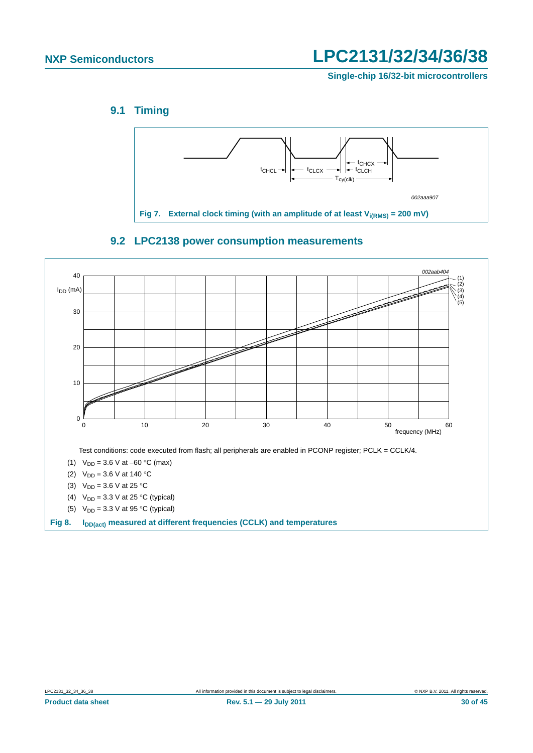**Single-chip 16/32-bit microcontrollers**

### <span id="page-29-0"></span>**9.1 Timing**



<span id="page-29-1"></span>

### **9.2 LPC2138 power consumption measurements**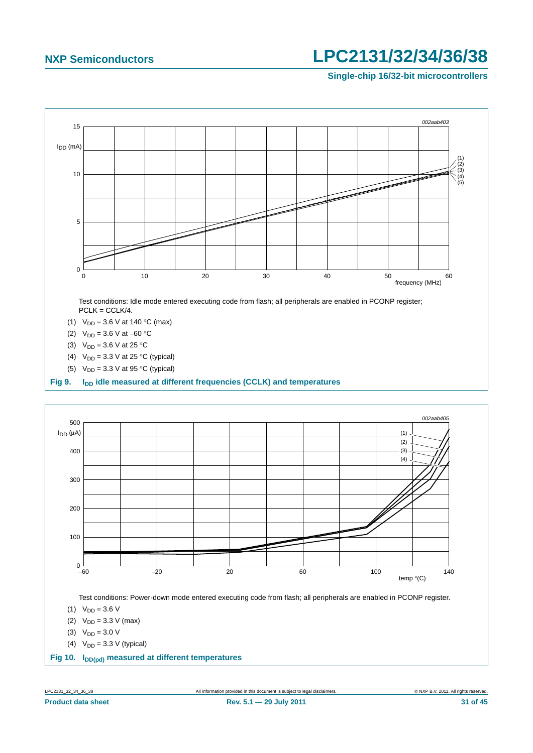**Single-chip 16/32-bit microcontrollers**



(4)  $V_{DD} = 3.3 V$  (typical)

Fig 10. I<sub>DD(pd)</sub> measured at different temperatures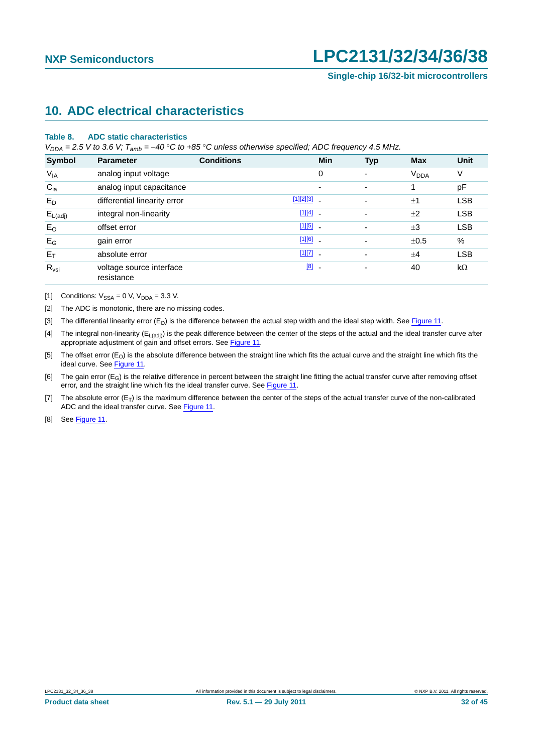## <span id="page-31-8"></span>**10. ADC electrical characteristics**

#### **Table 8. ADC static characteristics**

*V<sub>DDA</sub>* = 2.5 *V* to 3.6 *V;*  $T_{amb}$  = -40 °C to +85 °C unless otherwise specified; ADC frequency 4.5 MHz.

| Symbol              | <b>Parameter</b>                       | <b>Conditions</b> | Min                   | <b>Typ</b>               | <b>Max</b>             | <b>Unit</b> |
|---------------------|----------------------------------------|-------------------|-----------------------|--------------------------|------------------------|-------------|
| $V_{IA}$            | analog input voltage                   |                   | 0                     | $\overline{\phantom{0}}$ | <b>V<sub>DDA</sub></b> | V           |
| $C_{ia}$            | analog input capacitance               |                   | ٠                     | $\overline{\phantom{0}}$ |                        | pF          |
| $E_D$               | differential linearity error           |                   | $[1][2][3]$ .         | $\overline{\phantom{a}}$ | ±1                     | <b>LSB</b>  |
| $E_{L(\text{adj})}$ | integral non-linearity                 |                   | $[1][4]$ -            | $\overline{\phantom{a}}$ | ±2                     | <b>LSB</b>  |
| $E_{O}$             | offset error                           |                   | $[1][5]$ $-$          | $\overline{\phantom{a}}$ | $\pm 3$                | <b>LSB</b>  |
| $E_G$               | gain error                             |                   | $[1][6]$ $-$          | ۰                        | ±0.5                   | $\%$        |
| $E_T$               | absolute error                         |                   | $[1][7]$ -            | ۰                        | ±4                     | <b>LSB</b>  |
| $R_{\text{vsi}}$    | voltage source interface<br>resistance |                   | [8]<br>$\blacksquare$ | ۰                        | 40                     | $k\Omega$   |

<span id="page-31-6"></span>[1] Conditions:  $V_{SSA} = 0$  V,  $V_{DDA} = 3.3$  V.

<span id="page-31-0"></span>[2] The ADC is monotonic, there are no missing codes.

<span id="page-31-1"></span>[3] The differential linearity error  $(E_D)$  is the difference between the actual step width and the ideal step width. See [Figure 11](#page-32-0).

<span id="page-31-2"></span>[4] The integral non-linearity ( $E_{L(adi)}$ ) is the peak difference between the center of the steps of the actual and the ideal transfer curve after appropriate adjustment of gain and offset errors. See [Figure 11](#page-32-0).

<span id="page-31-3"></span>[5] The offset error (E<sub>O</sub>) is the absolute difference between the straight line which fits the actual curve and the straight line which fits the ideal curve. See [Figure 11.](#page-32-0)

<span id="page-31-4"></span>[6] The gain error  $(E_G)$  is the relative difference in percent between the straight line fitting the actual transfer curve after removing offset error, and the straight line which fits the ideal transfer curve. See [Figure 11](#page-32-0).

<span id="page-31-5"></span>[7] The absolute error  $(E_T)$  is the maximum difference between the center of the steps of the actual transfer curve of the non-calibrated ADC and the ideal transfer curve. See [Figure 11](#page-32-0).

<span id="page-31-7"></span>[8] See [Figure 11.](#page-32-0)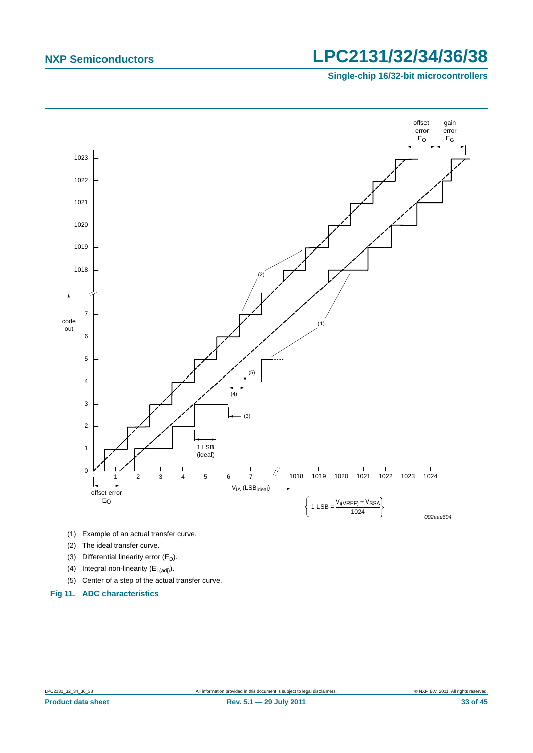

<span id="page-32-0"></span>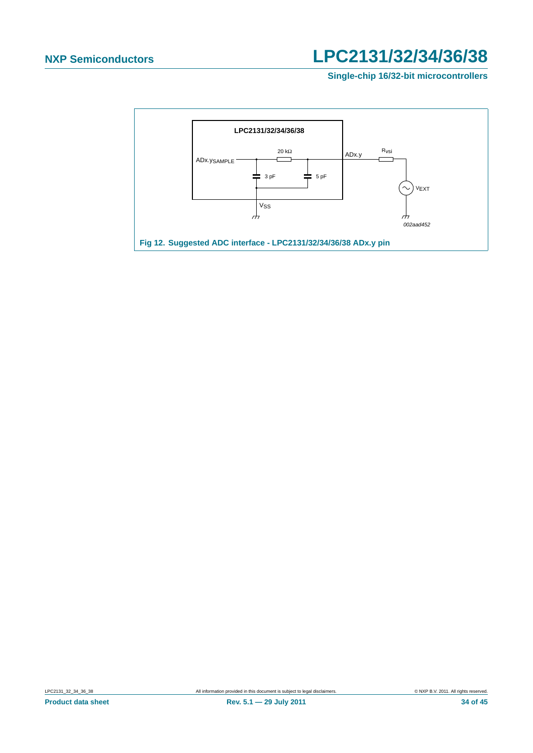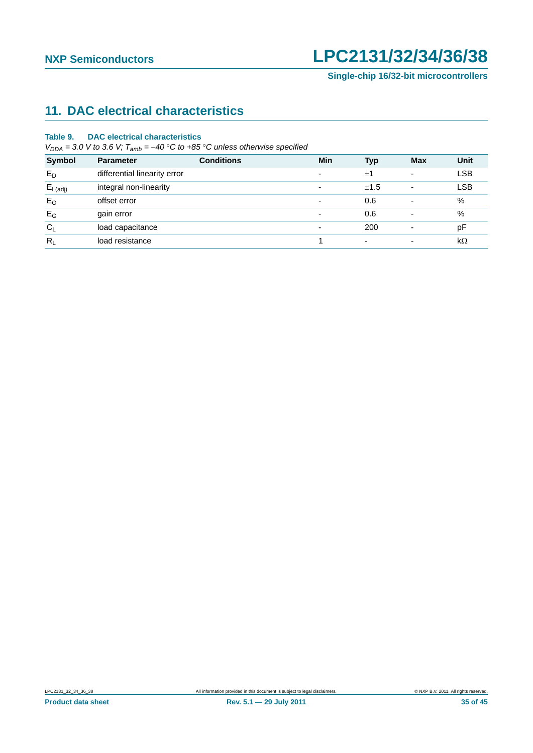# <span id="page-34-0"></span>**11. DAC electrical characteristics**

#### **Table 9. DAC electrical characteristics**

 $V_{DDA} = 3.0$  *V* to 3.6 *V*;  $T_{amb} = -40$  °C to +85 °C unless otherwise specified

| <b>Symbol</b>       | <b>Parameter</b>             | <b>Conditions</b> | Min                      | <b>Typ</b>               | <b>Max</b>               | Unit       |
|---------------------|------------------------------|-------------------|--------------------------|--------------------------|--------------------------|------------|
| $E_D$               | differential linearity error |                   | $\overline{\phantom{a}}$ | ±1                       | ۰                        | <b>LSB</b> |
| $E_{L(\text{adj})}$ | integral non-linearity       |                   | $\overline{\phantom{a}}$ | ±1.5                     | ۰                        | <b>LSB</b> |
| $E_{O}$             | offset error                 |                   | $\overline{\phantom{a}}$ | 0.6                      | -                        | %          |
| $E_G$               | gain error                   |                   | ۰                        | 0.6                      |                          | %          |
| $C_L$               | load capacitance             |                   | $\overline{\phantom{a}}$ | 200                      | $\overline{\phantom{0}}$ | pF         |
| $R_L$               | load resistance              |                   |                          | $\overline{\phantom{a}}$ |                          | $k\Omega$  |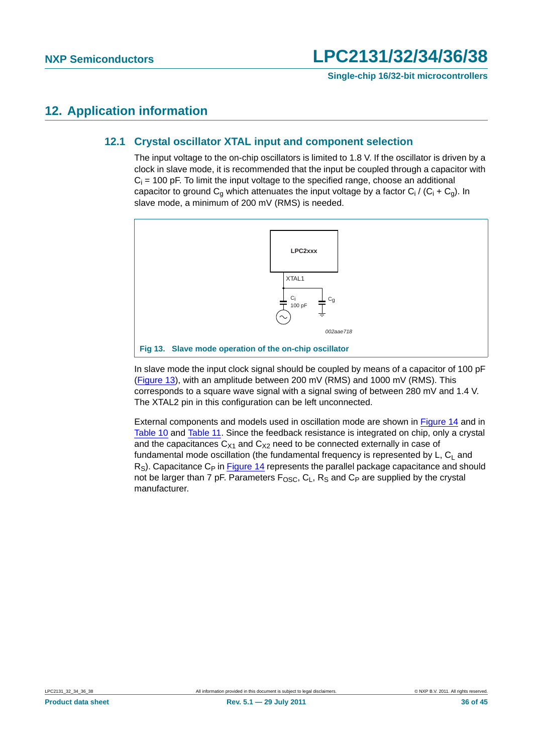## <span id="page-35-2"></span><span id="page-35-1"></span>**12. Application information**

### **12.1 Crystal oscillator XTAL input and component selection**

The input voltage to the on-chip oscillators is limited to 1.8 V. If the oscillator is driven by a clock in slave mode, it is recommended that the input be coupled through a capacitor with  $C_i$  = 100 pF. To limit the input voltage to the specified range, choose an additional capacitor to ground C<sub>g</sub> which attenuates the input voltage by a factor C<sub>i</sub> / (C<sub>i</sub> + C<sub>g</sub>). In slave mode, a minimum of 200 mV (RMS) is needed.



<span id="page-35-0"></span>In slave mode the input clock signal should be coupled by means of a capacitor of 100 pF [\(Figure 13\)](#page-35-0), with an amplitude between 200 mV (RMS) and 1000 mV (RMS). This corresponds to a square wave signal with a signal swing of between 280 mV and 1.4 V. The XTAL2 pin in this configuration can be left unconnected.

External components and models used in oscillation mode are shown in [Figure 14](#page-36-0) and in [Table 10](#page-36-1) and [Table 11](#page-36-2). Since the feedback resistance is integrated on chip, only a crystal and the capacitances  $C_{X1}$  and  $C_{X2}$  need to be connected externally in case of fundamental mode oscillation (the fundamental frequency is represented by  $L, C<sub>1</sub>$  and  $R<sub>S</sub>$ ). Capacitance C<sub>P</sub> in [Figure 14](#page-36-0) represents the parallel package capacitance and should not be larger than 7 pF. Parameters  $F_{\text{OSC}}$ ,  $C_L$ ,  $R_S$  and  $C_P$  are supplied by the crystal manufacturer.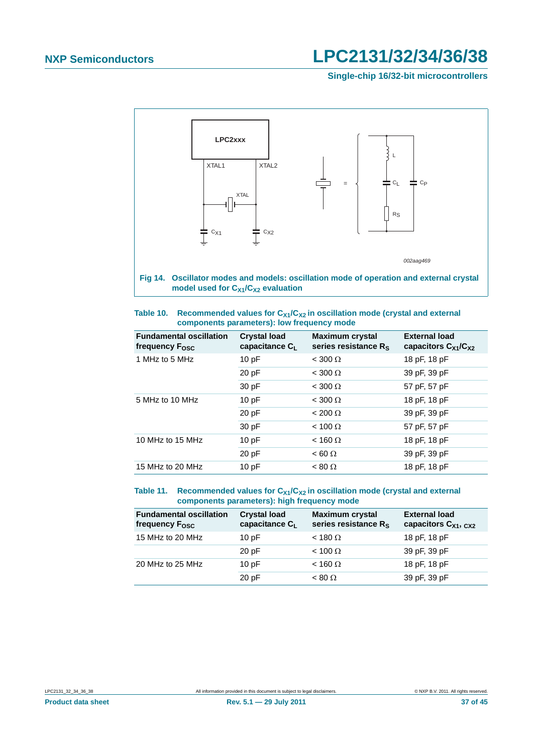**Single-chip 16/32-bit microcontrollers**



<span id="page-36-1"></span><span id="page-36-0"></span>

| Table 10. | Recommended values for $C_{X1}/C_{X2}$ in oscillation mode (crystal and external |
|-----------|----------------------------------------------------------------------------------|
|           | components parameters): low frequency mode                                       |

| <b>Fundamental oscillation</b><br>frequency F <sub>osc</sub> | <b>Crystal load</b><br>capacitance $C_L$ | <b>Maximum crystal</b><br>series resistance $R_s$ | <b>External load</b><br>capacitors $C_{X1}/C_{X2}$ |
|--------------------------------------------------------------|------------------------------------------|---------------------------------------------------|----------------------------------------------------|
| 1 MHz to 5 MHz                                               | 10pF                                     | $<$ 300 $\Omega$                                  | 18 pF, 18 pF                                       |
|                                                              | 20 pF                                    | $<$ 300 $\Omega$                                  | 39 pF, 39 pF                                       |
|                                                              | 30 pF                                    | $<$ 300 $\Omega$                                  | 57 pF, 57 pF                                       |
| 5 MHz to 10 MHz                                              | 10pF                                     | $<$ 300 $\Omega$                                  | 18 pF, 18 pF                                       |
|                                                              | 20 pF                                    | $< 200 \Omega$                                    | 39 pF, 39 pF                                       |
|                                                              | 30 pF                                    | $< 100 \Omega$                                    | 57 pF, 57 pF                                       |
| 10 MHz to 15 MHz                                             | 10pF                                     | $<$ 160 $\Omega$                                  | 18 pF, 18 pF                                       |
|                                                              | 20 pF                                    | $< 60 \Omega$                                     | 39 pF, 39 pF                                       |
| 15 MHz to 20 MHz                                             | 10pF                                     | $< 80 \Omega$                                     | 18 pF, 18 pF                                       |

#### <span id="page-36-2"></span>Table 11. Recommended values for C<sub>X1</sub>/C<sub>X2</sub> in oscillation mode (crystal and external **components parameters): high frequency mode**

| <b>Fundamental oscillation</b><br>frequency F <sub>osc</sub> | <b>Crystal load</b><br>capacitance CL | <b>Maximum crystal</b><br>series resistance R <sub>S</sub> | <b>External load</b><br>capacitors $C_{X1}$ , $C_{X2}$ |
|--------------------------------------------------------------|---------------------------------------|------------------------------------------------------------|--------------------------------------------------------|
| 15 MHz to 20 MHz                                             | 10pF                                  | $<$ 180 $\Omega$                                           | 18 pF, 18 pF                                           |
|                                                              | 20pF                                  | $< 100 \Omega$                                             | 39 pF, 39 pF                                           |
| 20 MHz to 25 MHz                                             | 10pF                                  | $<$ 160 $\Omega$                                           | 18 pF, 18 pF                                           |
|                                                              | 20pF                                  | $< 80 \Omega$                                              | 39 pF, 39 pF                                           |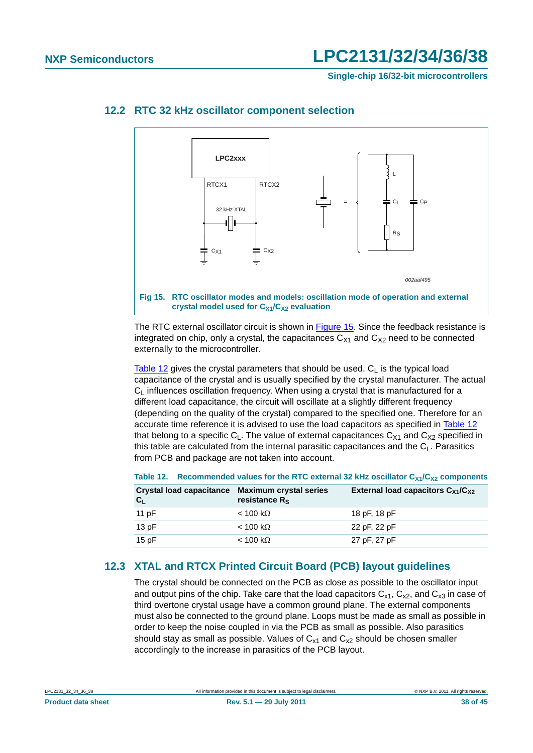**Single-chip 16/32-bit microcontrollers**



### <span id="page-37-2"></span>**12.2 RTC 32 kHz oscillator component selection**

<span id="page-37-0"></span>The RTC external oscillator circuit is shown in [Figure 15](#page-37-0). Since the feedback resistance is integrated on chip, only a crystal, the capacitances  $C_{X1}$  and  $C_{X2}$  need to be connected externally to the microcontroller.

[Table 12](#page-37-1) gives the crystal parameters that should be used.  $C<sub>1</sub>$  is the typical load capacitance of the crystal and is usually specified by the crystal manufacturer. The actual  $C<sub>l</sub>$  influences oscillation frequency. When using a crystal that is manufactured for a different load capacitance, the circuit will oscillate at a slightly different frequency (depending on the quality of the crystal) compared to the specified one. Therefore for an accurate time reference it is advised to use the load capacitors as specified in [Table 12](#page-37-1) that belong to a specific  $C_1$ . The value of external capacitances  $C_{X1}$  and  $C_{X2}$  specified in this table are calculated from the internal parasitic capacitances and the  $C_1$ . Parasitics from PCB and package are not taken into account.

| $C_{L}$ | <b>Crystal load capacitance</b> | <b>Maximum crystal series</b><br>resistance R <sub>s</sub> | External load capacitors $C_{X1}/C_{X2}$ |
|---------|---------------------------------|------------------------------------------------------------|------------------------------------------|
| 11 pF   |                                 | $<$ 100 kΩ                                                 | 18 pF, 18 pF                             |
| 13pF    |                                 | $<$ 100 kΩ                                                 | 22 pF, 22 pF                             |
| 15 $pF$ |                                 | < 100 kΩ                                                   | 27 pF, 27 pF                             |

#### <span id="page-37-1"></span>Table 12. Recommended values for the RTC external 32 kHz oscillator C<sub>X1</sub>/C<sub>X2</sub> components

### <span id="page-37-3"></span>**12.3 XTAL and RTCX Printed Circuit Board (PCB) layout guidelines**

The crystal should be connected on the PCB as close as possible to the oscillator input and output pins of the chip. Take care that the load capacitors  $C_{x1}$ ,  $C_{x2}$ , and  $C_{x3}$  in case of third overtone crystal usage have a common ground plane. The external components must also be connected to the ground plane. Loops must be made as small as possible in order to keep the noise coupled in via the PCB as small as possible. Also parasitics should stay as small as possible. Values of  $C_{x1}$  and  $C_{x2}$  should be chosen smaller accordingly to the increase in parasitics of the PCB layout.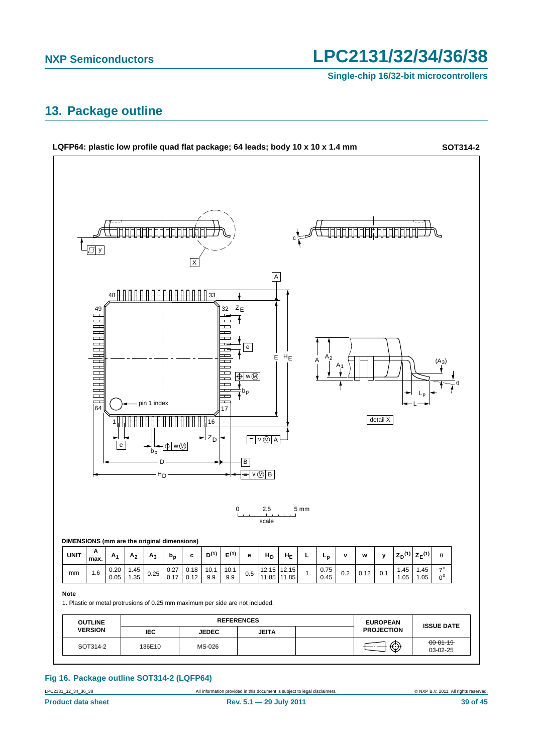**Single-chip 16/32-bit microcontrollers**

## <span id="page-38-0"></span>**13. Package outline**



### **Fig 16. Package outline SOT314-2 (LQFP64)**

LPC2131\_32\_34\_36\_38 All information provided in this document is subject to legal disclaimers. © NXP B.V. 2011. All rights reserved.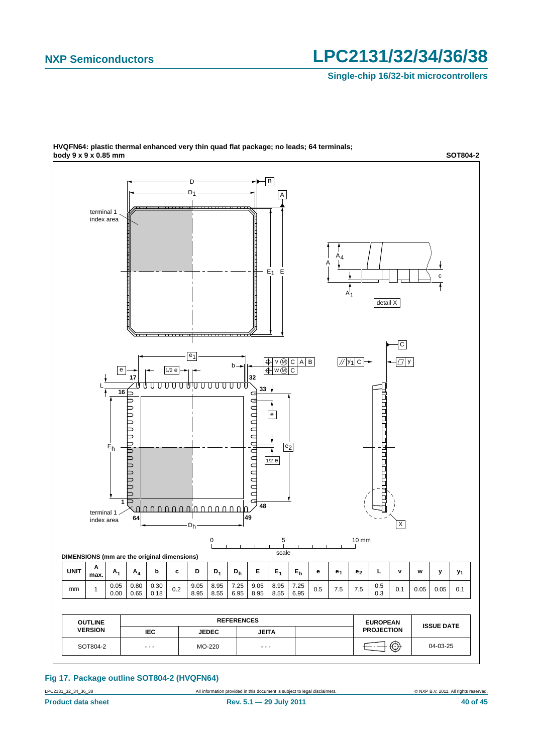**Single-chip 16/32-bit microcontrollers**



**HVQFN64: plastic thermal enhanced very thin quad flat package; no leads; 64 terminals; body 9 x 9 x 0.85 mm SOT804-2**

**Fig 17. Package outline SOT804-2 (HVQFN64)**

LPC2131\_32\_34\_36\_38 All information provided in this document is subject to legal disclaimers. © NXP B.V. 2011. All rights reserved.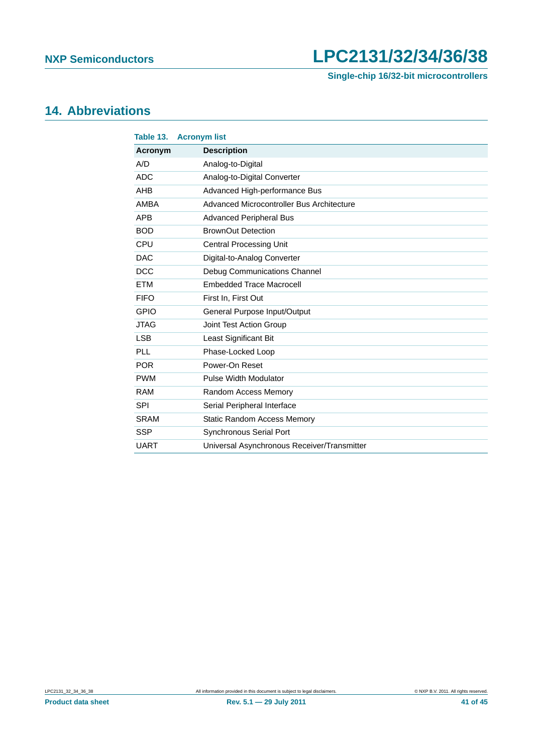**Single-chip 16/32-bit microcontrollers**

## <span id="page-40-0"></span>**14. Abbreviations**

| Table 13.   | <b>Acronym list</b>                         |
|-------------|---------------------------------------------|
| Acronym     | <b>Description</b>                          |
| A/D         | Analog-to-Digital                           |
| <b>ADC</b>  | Analog-to-Digital Converter                 |
| <b>AHB</b>  | Advanced High-performance Bus               |
| <b>AMBA</b> | Advanced Microcontroller Bus Architecture   |
| <b>APB</b>  | <b>Advanced Peripheral Bus</b>              |
| <b>BOD</b>  | <b>BrownOut Detection</b>                   |
| <b>CPU</b>  | <b>Central Processing Unit</b>              |
| <b>DAC</b>  | Digital-to-Analog Converter                 |
| <b>DCC</b>  | Debug Communications Channel                |
| <b>ETM</b>  | <b>Embedded Trace Macrocell</b>             |
| <b>FIFO</b> | First In, First Out                         |
| <b>GPIO</b> | General Purpose Input/Output                |
| <b>JTAG</b> | Joint Test Action Group                     |
| <b>LSB</b>  | Least Significant Bit                       |
| PLL         | Phase-Locked Loop                           |
| <b>POR</b>  | Power-On Reset                              |
| <b>PWM</b>  | Pulse Width Modulator                       |
| <b>RAM</b>  | Random Access Memory                        |
| <b>SPI</b>  | Serial Peripheral Interface                 |
| <b>SRAM</b> | <b>Static Random Access Memory</b>          |
| <b>SSP</b>  | <b>Synchronous Serial Port</b>              |
| <b>UART</b> | Universal Asynchronous Receiver/Transmitter |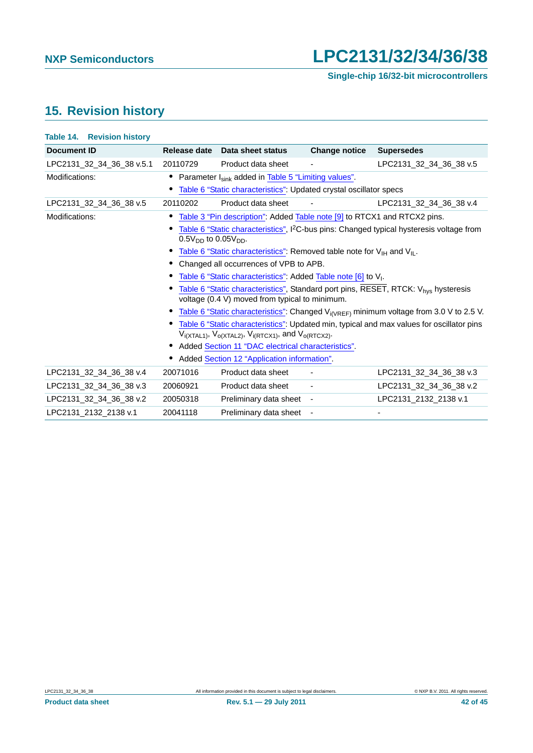# <span id="page-41-0"></span>**15. Revision history**

| <b>Table 14. Revision history</b> |                               |                                                                                                |                          |                                                                                                       |
|-----------------------------------|-------------------------------|------------------------------------------------------------------------------------------------|--------------------------|-------------------------------------------------------------------------------------------------------|
| <b>Document ID</b>                | Release date                  | Data sheet status                                                                              | <b>Change notice</b>     | <b>Supersedes</b>                                                                                     |
| LPC2131_32_34_36_38 v.5.1         | 20110729                      | Product data sheet                                                                             |                          | LPC2131 32 34 36 38 v.5                                                                               |
| Modifications:                    |                               | Parameter I <sub>sink</sub> added in Table 5 "Limiting values".                                |                          |                                                                                                       |
|                                   |                               | Table 6 "Static characteristics": Updated crystal oscillator specs                             |                          |                                                                                                       |
| LPC2131_32_34_36_38 v.5           | 20110202                      | Product data sheet                                                                             | $\blacksquare$           | LPC2131_32_34_36_38 v.4                                                                               |
| Modifications:                    |                               | Table 3 "Pin description": Added Table note [9] to RTCX1 and RTCX2 pins.                       |                          |                                                                                                       |
|                                   | $0.5V_{DD}$ to $0.05V_{DD}$ . |                                                                                                |                          | Table 6 "Static characteristics", I <sup>2</sup> C-bus pins: Changed typical hysteresis voltage from  |
|                                   |                               | • Table 6 "Static characteristics": Removed table note for $V_{\text{H}}$ and $V_{\text{H}}$ . |                          |                                                                                                       |
|                                   |                               | • Changed all occurrences of VPB to APB.                                                       |                          |                                                                                                       |
|                                   |                               | Table 6 "Static characteristics": Added Table note [6] to V <sub>1</sub> .                     |                          |                                                                                                       |
|                                   |                               | voltage (0.4 V) moved from typical to minimum.                                                 |                          | Table 6 "Static characteristics", Standard port pins, RESET, RTCK: V <sub>hys</sub> hysteresis        |
|                                   |                               |                                                                                                |                          | • Table 6 "Static characteristics": Changed V <sub>i(VREF)</sub> minimum voltage from 3.0 V to 2.5 V. |
|                                   |                               | $V_{i(XTAL1)}, V_{o(XTAL2)}, V_{i(RTCX1)},$ and $V_{o(RTCX2)}$ .                               |                          | Table 6 "Static characteristics": Updated min, typical and max values for oscillator pins             |
|                                   |                               | • Added Section 11 "DAC electrical characteristics".                                           |                          |                                                                                                       |
|                                   |                               | Added Section 12 "Application information".                                                    |                          |                                                                                                       |
| LPC2131_32_34_36_38 v.4           | 20071016                      | Product data sheet                                                                             |                          | LPC2131_32_34_36_38 v.3                                                                               |
| LPC2131_32_34_36_38 v.3           | 20060921                      | Product data sheet                                                                             | $\overline{\phantom{a}}$ | LPC2131_32_34_36_38 v.2                                                                               |
| LPC2131 32 34 36 38 v.2           | 20050318                      | Preliminary data sheet -                                                                       |                          | LPC2131_2132_2138 v.1                                                                                 |
| LPC2131 2132 2138 v.1             | 20041118                      | Preliminary data sheet -                                                                       |                          |                                                                                                       |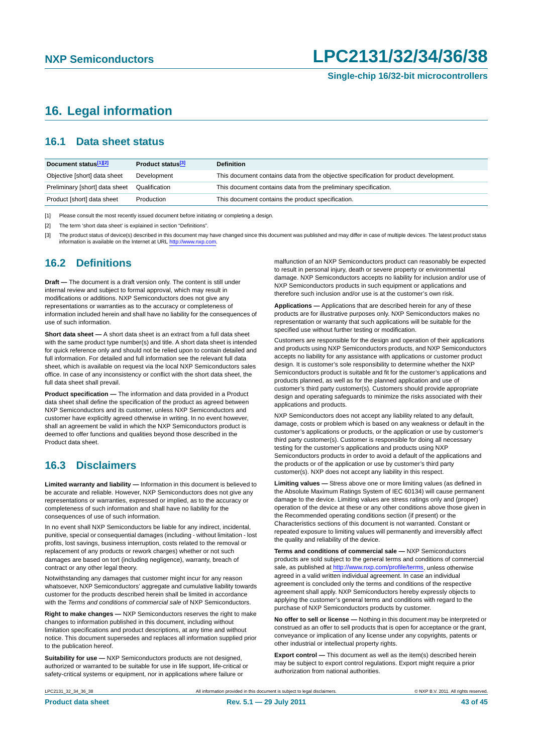## <span id="page-42-0"></span>**16. Legal information**

### <span id="page-42-1"></span>**16.1 Data sheet status**

| Document status[1][2]          | Product status <sup>[3]</sup> | <b>Definition</b>                                                                     |
|--------------------------------|-------------------------------|---------------------------------------------------------------------------------------|
| Objective [short] data sheet   | Development                   | This document contains data from the objective specification for product development. |
| Preliminary [short] data sheet | Qualification                 | This document contains data from the preliminary specification.                       |
| Product [short] data sheet     | Production                    | This document contains the product specification.                                     |

[1] Please consult the most recently issued document before initiating or completing a design.

[2] The term 'short data sheet' is explained in section "Definitions".

[3] The product status of device(s) described in this document may have changed since this document was published and may differ in case of multiple devices. The latest product status<br>information is available on the Intern

### <span id="page-42-2"></span>**16.2 Definitions**

**Draft —** The document is a draft version only. The content is still under internal review and subject to formal approval, which may result in modifications or additions. NXP Semiconductors does not give any representations or warranties as to the accuracy or completeness of information included herein and shall have no liability for the consequences of use of such information.

**Short data sheet —** A short data sheet is an extract from a full data sheet with the same product type number(s) and title. A short data sheet is intended for quick reference only and should not be relied upon to contain detailed and full information. For detailed and full information see the relevant full data sheet, which is available on request via the local NXP Semiconductors sales office. In case of any inconsistency or conflict with the short data sheet, the full data sheet shall prevail.

**Product specification —** The information and data provided in a Product data sheet shall define the specification of the product as agreed between NXP Semiconductors and its customer, unless NXP Semiconductors and customer have explicitly agreed otherwise in writing. In no event however, shall an agreement be valid in which the NXP Semiconductors product is deemed to offer functions and qualities beyond those described in the Product data sheet.

### <span id="page-42-3"></span>**16.3 Disclaimers**

**Limited warranty and liability —** Information in this document is believed to be accurate and reliable. However, NXP Semiconductors does not give any representations or warranties, expressed or implied, as to the accuracy or completeness of such information and shall have no liability for the consequences of use of such information.

In no event shall NXP Semiconductors be liable for any indirect, incidental, punitive, special or consequential damages (including - without limitation - lost profits, lost savings, business interruption, costs related to the removal or replacement of any products or rework charges) whether or not such damages are based on tort (including negligence), warranty, breach of contract or any other legal theory.

Notwithstanding any damages that customer might incur for any reason whatsoever, NXP Semiconductors' aggregate and cumulative liability towards customer for the products described herein shall be limited in accordance with the *Terms and conditions of commercial sale* of NXP Semiconductors.

**Right to make changes —** NXP Semiconductors reserves the right to make changes to information published in this document, including without limitation specifications and product descriptions, at any time and without notice. This document supersedes and replaces all information supplied prior to the publication hereof.

**Suitability for use —** NXP Semiconductors products are not designed, authorized or warranted to be suitable for use in life support, life-critical or safety-critical systems or equipment, nor in applications where failure or

malfunction of an NXP Semiconductors product can reasonably be expected to result in personal injury, death or severe property or environmental damage. NXP Semiconductors accepts no liability for inclusion and/or use of NXP Semiconductors products in such equipment or applications and therefore such inclusion and/or use is at the customer's own risk.

**Applications —** Applications that are described herein for any of these products are for illustrative purposes only. NXP Semiconductors makes no representation or warranty that such applications will be suitable for the specified use without further testing or modification.

Customers are responsible for the design and operation of their applications and products using NXP Semiconductors products, and NXP Semiconductors accepts no liability for any assistance with applications or customer product design. It is customer's sole responsibility to determine whether the NXP Semiconductors product is suitable and fit for the customer's applications and products planned, as well as for the planned application and use of customer's third party customer(s). Customers should provide appropriate design and operating safeguards to minimize the risks associated with their applications and products.

NXP Semiconductors does not accept any liability related to any default, damage, costs or problem which is based on any weakness or default in the customer's applications or products, or the application or use by customer's third party customer(s). Customer is responsible for doing all necessary testing for the customer's applications and products using NXP Semiconductors products in order to avoid a default of the applications and the products or of the application or use by customer's third party customer(s). NXP does not accept any liability in this respect.

**Limiting values —** Stress above one or more limiting values (as defined in the Absolute Maximum Ratings System of IEC 60134) will cause permanent damage to the device. Limiting values are stress ratings only and (proper) operation of the device at these or any other conditions above those given in the Recommended operating conditions section (if present) or the Characteristics sections of this document is not warranted. Constant or repeated exposure to limiting values will permanently and irreversibly affect the quality and reliability of the device.

**Terms and conditions of commercial sale —** NXP Semiconductors products are sold subject to the general terms and conditions of commercial sale, as published at<http://www.nxp.com/profile/terms>, unless otherwise agreed in a valid written individual agreement. In case an individual agreement is concluded only the terms and conditions of the respective agreement shall apply. NXP Semiconductors hereby expressly objects to applying the customer's general terms and conditions with regard to the purchase of NXP Semiconductors products by customer.

**No offer to sell or license —** Nothing in this document may be interpreted or construed as an offer to sell products that is open for acceptance or the grant, conveyance or implication of any license under any copyrights, patents or other industrial or intellectual property rights.

**Export control —** This document as well as the item(s) described herein may be subject to export control regulations. Export might require a prior authorization from national authorities.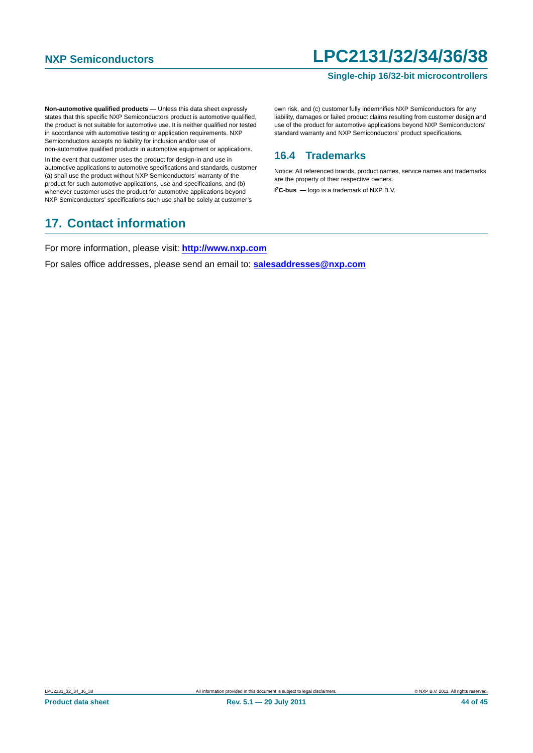### **Single-chip 16/32-bit microcontrollers**

**Non-automotive qualified products — Unless this data sheet expressly** states that this specific NXP Semiconductors product is automotive qualified, the product is not suitable for automotive use. It is neither qualified nor tested in accordance with automotive testing or application requirements. NXP Semiconductors accepts no liability for inclusion and/or use of non-automotive qualified products in automotive equipment or applications.

In the event that customer uses the product for design-in and use in automotive applications to automotive specifications and standards, customer (a) shall use the product without NXP Semiconductors' warranty of the product for such automotive applications, use and specifications, and (b) whenever customer uses the product for automotive applications beyond NXP Semiconductors' specifications such use shall be solely at customer's

## <span id="page-43-1"></span>**17. Contact information**

own risk, and (c) customer fully indemnifies NXP Semiconductors for any liability, damages or failed product claims resulting from customer design and use of the product for automotive applications beyond NXP Semiconductors' standard warranty and NXP Semiconductors' product specifications.

### <span id="page-43-0"></span>**16.4 Trademarks**

Notice: All referenced brands, product names, service names and trademarks are the property of their respective owners.

**I 2C-bus —** logo is a trademark of NXP B.V.

For more information, please visit: **http://www.nxp.com**

For sales office addresses, please send an email to: **salesaddresses@nxp.com**